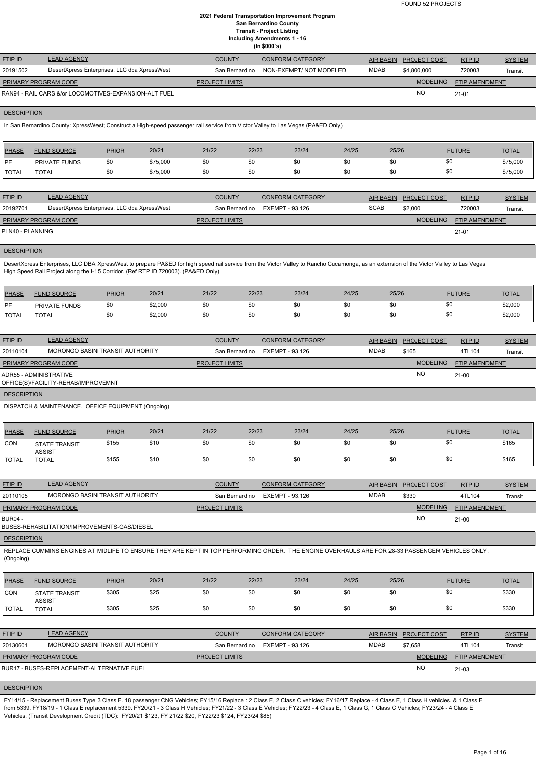FOUND 52 PROJECTS

#### **2021 Federal Transportation Improvement Program San Bernardino County Transit - Project Listing Including Amendments 1 - 16 (In \$000`s)**

| <b>FTIP ID</b>              | <b>LEAD AGENCY</b>                                    | <b>COUNTY</b>         | <b>CONFORM CATEGORY</b> |             | AIR BASIN PROJECT COST | RTPID                 | <b>SYSTEM</b> |
|-----------------------------|-------------------------------------------------------|-----------------------|-------------------------|-------------|------------------------|-----------------------|---------------|
| 20191502                    | DesertXpress Enterprises, LLC dba XpressWest          | San Bernardino        | NON-EXEMPT/ NOT MODELED | <b>MDAB</b> | \$4,800,000            | 720003                | Transit       |
| <b>PRIMARY PROGRAM CODE</b> |                                                       | <b>PROJECT LIMITS</b> |                         |             | <b>MODELING</b>        | <b>FTIP AMENDMENT</b> |               |
|                             | RAN94 - RAIL CARS &/or LOCOMOTIVES-EXPANSION-ALT FUEL |                       |                         |             | <b>NC</b>              | $21 - 01$             |               |

## **DESCRIPTION**

In San Bernardino County: XpressWest; Construct a High-speed passenger rail service from Victor Valley to Las Vegas (PA&ED Only)

| <b>PHASE</b>     | <b>FUND SOURCE</b>                           | <b>PRIOR</b> | 20/21    | 21/22                 | 22/23          | 23/24                   | 24/25 | 25/26            |                     | <b>FUTURE</b>         | <b>TOTAL</b>  |
|------------------|----------------------------------------------|--------------|----------|-----------------------|----------------|-------------------------|-------|------------------|---------------------|-----------------------|---------------|
| <b>IPE</b>       | <b>PRIVATE FUNDS</b>                         | \$0          | \$75,000 | \$0                   | \$0            | \$0                     | \$0   | \$0              | \$0                 |                       | \$75,000      |
| <b>I</b> TOTAL   | <b>TOTAL</b>                                 | \$0          | \$75,000 | \$0                   | \$0            | \$0                     | \$0   | \$0              | \$0                 |                       | \$75,000      |
|                  |                                              |              |          |                       |                |                         |       |                  |                     |                       |               |
| <b>FTIP ID</b>   | <b>LEAD AGENCY</b>                           |              |          | <b>COUNTY</b>         |                | <b>CONFORM CATEGORY</b> |       | <b>AIR BASIN</b> | <b>PROJECT COST</b> | RTP ID                | <b>SYSTEM</b> |
| 20192701         | DesertXpress Enterprises, LLC dba XpressWest |              |          |                       | San Bernardino | EXEMPT - 93.126         |       | <b>SCAB</b>      | \$2,000             | 720003                | Transit       |
|                  | <b>PRIMARY PROGRAM CODE</b>                  |              |          | <b>PROJECT LIMITS</b> |                |                         |       |                  | <b>MODELING</b>     | <b>FTIP AMENDMENT</b> |               |
| PLN40 - PLANNING |                                              |              |          |                       |                |                         |       |                  |                     | $21 - 01$             |               |

## **DESCRIPTION**

DesertXpress Enterprises, LLC DBA XpressWest to prepare PA&ED for high speed rail service from the Victor Valley to Rancho Cucamonga, as an extension of the Victor Valley to Las Vegas High Speed Rail Project along the I-15 Corridor. (Ref RTP ID 720003). (PA&ED Only)

| PHASE         | <b>FUND SOURCE</b>   | <b>PRIOR</b> | 20/21   | 21/22 | 22/23 | 23/24 | 24/25 | 25/26 | <b>FUTURE</b> | <b>TOTAL</b> |
|---------------|----------------------|--------------|---------|-------|-------|-------|-------|-------|---------------|--------------|
| <b>IPE</b>    | <b>PRIVATE FUNDS</b> | \$0          | \$2,000 | \$0   | \$0   | งบ    | \$0   | \$0   |               | \$2,000      |
| <b>ITOTAL</b> | <b>TOTAL</b>         | \$0          | \$2,000 | \$0   | \$0   | ১৫    | \$0   | \$0   |               | \$2,000      |

| <b>FTIP ID</b>              | <b>LEAD AGENCY</b>                  | <b>COUNTY</b>         | <b>CONFORM CATEGORY</b> | <b>AIR BASIN</b> | <b>PROJECT COST</b> | RTP ID                | <b>SYSTEM</b> |
|-----------------------------|-------------------------------------|-----------------------|-------------------------|------------------|---------------------|-----------------------|---------------|
| 20110104                    | MORONGO BASIN TRANSIT AUTHORITY     | San Bernardino        | EXEMPT - 93.126         | <b>MDAB</b>      | \$165               | 4TL104                | Transit       |
| <b>PRIMARY PROGRAM CODE</b> |                                     | <b>PROJECT LIMITS</b> |                         |                  | <b>MODELING</b>     | <b>FTIP AMENDMENT</b> |               |
| ADR55 - ADMINISTRATIVE      | OFFICE(S)/FACILITY-REHAB/IMPROVEMNT |                       |                         |                  | NO                  | $21-00$               |               |
| <b>DESCRIPTION</b>          |                                     |                       |                         |                  |                     |                       |               |

DISPATCH & MAINTENANCE. OFFICE EQUIPMENT (Ongoing)

| PHASE        | <b>FUND SOURCE</b>                    | <b>PRIOR</b> | 20/21 | 21/22 | 22/23 | 23/24 | 24/25 | 25/26 | <b>FUTURE</b> | <b>TOTAL</b> |
|--------------|---------------------------------------|--------------|-------|-------|-------|-------|-------|-------|---------------|--------------|
| CON          | <b>STATE TRANSIT</b><br><b>ASSIST</b> | \$155        | \$10  | \$0   |       | \$0   | \$0   | \$0   | \$0           | \$165        |
| <b>TOTAL</b> | <b>TOTAL</b>                          | \$155        | \$10  | \$0   |       | \$0   | \$0   | \$0   | \$0           | \$165        |

| <b>FTIP ID</b>              | <b>LEAD AGENCY</b>                           | <b>COUNTY</b>         | <b>CONFORM CATEGORY</b> |      | AIR BASIN PROJECT COST | RTPID                 | <b>SYSTEM</b> |
|-----------------------------|----------------------------------------------|-----------------------|-------------------------|------|------------------------|-----------------------|---------------|
| 20110105                    | MORONGO BASIN TRANSIT AUTHORITY              | San Bernardino        | EXEMPT - 93.126         | MDAB | \$330                  | 4TL104                | Transit       |
| <b>PRIMARY PROGRAM CODE</b> |                                              | <b>PROJECT LIMITS</b> |                         |      | <b>MODELING</b>        | <b>FTIP AMENDMENT</b> |               |
| <b>BUR04 -</b>              | BUSES-REHABILITATION/IMPROVEMENTS-GAS/DIESEL |                       |                         |      | NO                     | $21-00$               |               |

### **DESCRIPTION**

REPLACE CUMMINS ENGINES AT MIDLIFE TO ENSURE THEY ARE KEPT IN TOP PERFORMING ORDER. THE ENGINE OVERHAULS ARE FOR 28-33 PASSENGER VEHICLES ONLY. (Ongoing)

| <b>PHASE</b>  | <b>FUND SOURCE</b>                         | <b>PRIOR</b> | 20/21 | 21/22                 | 22/23           | 23/24                   | 24/25       | 25/26            |                     | <b>FUTURE</b>         | <b>TOTAL</b>  |
|---------------|--------------------------------------------|--------------|-------|-----------------------|-----------------|-------------------------|-------------|------------------|---------------------|-----------------------|---------------|
| <b>CON</b>    | <b>STATE TRANSIT</b><br><b>ASSIST</b>      | \$305        | \$25  | \$0                   | \$0             | \$0                     | \$0         | \$0              | \$0                 |                       | \$330         |
| <b>ITOTAL</b> | <b>TOTAL</b>                               | \$305        | \$25  | \$0                   | \$0             | \$0                     | \$0         | \$0              | \$0                 |                       | \$330         |
|               |                                            |              |       |                       |                 |                         |             |                  |                     |                       |               |
| FTIPID        | <b>LEAD AGENCY</b>                         |              |       | <b>COUNTY</b>         |                 | <b>CONFORM CATEGORY</b> |             | <b>AIR BASIN</b> | <b>PROJECT COST</b> | RTPID                 | <b>SYSTEM</b> |
| 20130601      | MORONGO BASIN TRANSIT AUTHORITY            |              |       | San Bernardino        | EXEMPT - 93.126 |                         | <b>MDAB</b> |                  | \$7,658             | 4TL104                | Transit       |
|               | PRIMARY PROGRAM CODE                       |              |       | <b>PROJECT LIMITS</b> |                 |                         |             |                  | <b>MODELING</b>     | <b>FTIP AMENDMENT</b> |               |
|               | BUR17 - BUSES-REPLACEMENT-ALTERNATIVE FUEL |              |       |                       |                 |                         |             |                  | <b>NO</b>           | 21-03                 |               |

#### **DESCRIPTION**

FY14/15 - Replacement Buses Type 3 Class E. 18 passenger CNG Vehicles; FY15/16 Replace : 2 Class E, 2 Class C vehicles; FY16/17 Replace - 4 Class E, 1 Class H vehicles. & 1 Class E from 5339. FY18/19 - 1 Class E replacement 5339. FY20/21 - 3 Class H Vehicles; FY21/22 - 3 Class E Vehicles; FY22/23 - 4 Class E, 1 Class G, 1 Class C Vehicles; FY23/24 - 4 Class E Vehicles. (Transit Development Credit (TDC): FY20/21 \$123, FY 21/22 \$20, FY22/23 \$124, FY23/24 \$85)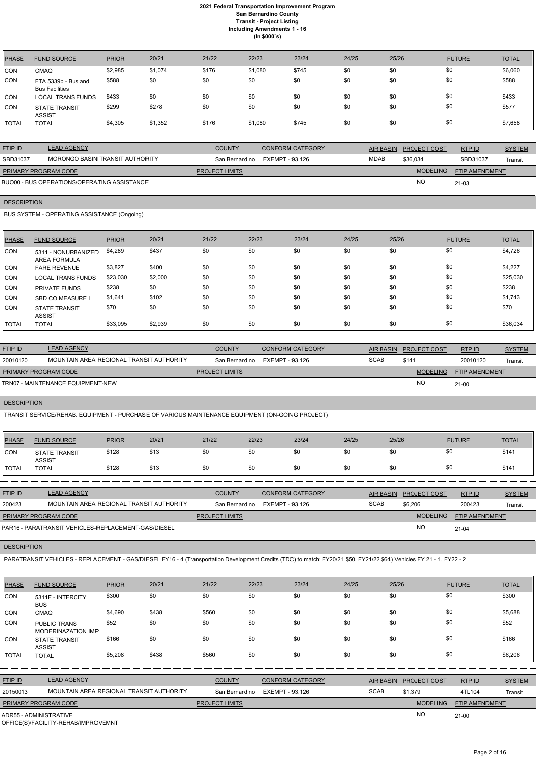| <b>PHASE</b> | <b>FUND SOURCE</b>                           | <b>PRIOR</b> | 20/21   | 21/22 | 22/23   | 23/24 | 24/25 | 25/26 | <b>FUTURE</b> | <b>TOTAL</b> |
|--------------|----------------------------------------------|--------------|---------|-------|---------|-------|-------|-------|---------------|--------------|
| <b>CON</b>   | <b>CMAQ</b>                                  | \$2,985      | \$1,074 | \$176 | \$1,080 | \$745 | \$0   | \$0   | \$0           | \$6,060      |
| <b>CON</b>   | FTA 5339b - Bus and<br><b>Bus Facilities</b> | \$588        | \$0     | \$0   | \$0     | \$0   | \$0   | \$0   | \$0           | \$588        |
| <b>CON</b>   | <b>LOCAL TRANS FUNDS</b>                     | \$433        | \$0     | \$0   | \$0     | \$0   | \$0   | \$0   | \$0           | \$433        |
| <b>CON</b>   | <b>STATE TRANSIT</b><br><b>ASSIST</b>        | \$299        | \$278   | \$0   | \$0     | \$0   | \$0   | \$0   | \$0           | \$577        |
| <b>TOTAL</b> | <b>TOTAL</b>                                 | \$4,305      | \$1,352 | \$176 | \$1,080 | \$745 | \$0   | \$0   | \$0           | \$7,658      |

| <b>FTIP ID</b>              | <b>LEAD AGENCY</b>                          | <b>COUNTY</b>         | <b>CONFORM CATEGORY</b> | AIR BASIN   | <b>PROJECT COST</b> | RTPID                 | <b>SYSTEM</b> |
|-----------------------------|---------------------------------------------|-----------------------|-------------------------|-------------|---------------------|-----------------------|---------------|
| SBD31037                    | MORONGO BASIN TRANSIT AUTHORITY             | San Bernardino        | EXEMPT - 93.126         | <b>MDAB</b> | \$36,034            | SBD31037              | Transit       |
| <b>PRIMARY PROGRAM CODE</b> |                                             | <b>PROJECT LIMITS</b> |                         |             | <b>MODELING</b>     | <b>FTIP AMENDMENT</b> |               |
|                             | BUO00 - BUS OPERATIONS/OPERATING ASSISTANCE |                       |                         |             | <b>NC</b>           | $21 - 03$             |               |

## **DESCRIPTION**

BUS SYSTEM - OPERATING ASSISTANCE (Ongoing)

| PHASE         | <b>FUND SOURCE</b>                         | <b>PRIOR</b> | 20/21   | 21/22 | 22/23 | 23/24 | 24/25 | 25/26 | <b>FUTURE</b> | <b>TOTAL</b> |
|---------------|--------------------------------------------|--------------|---------|-------|-------|-------|-------|-------|---------------|--------------|
| <b>CON</b>    | 5311 - NONURBANIZED<br><b>AREA FORMULA</b> | \$4,289      | \$437   | \$0   | \$0   | \$0   | \$0   | \$0   | \$0           | \$4,726      |
| <b>CON</b>    | <b>FARE REVENUE</b>                        | \$3,827      | \$400   | \$0   | \$0   | \$0   | \$0   | \$0   | \$0           | \$4,227      |
| CON           | <b>LOCAL TRANS FUNDS</b>                   | \$23,030     | \$2,000 | \$0   | \$0   | \$0   | \$0   | \$0   | \$0           | \$25,030     |
| <b>CON</b>    | <b>PRIVATE FUNDS</b>                       | \$238        | \$0     | \$0   | \$0   | \$0   | \$0   | \$0   | \$0           | \$238        |
| CON           | SBD CO MEASURE I                           | \$1,641      | \$102   | \$0   | \$0   | \$0   | \$0   | \$0   | \$0           | \$1,743      |
| <b>ICON</b>   | <b>STATE TRANSIT</b><br><b>ASSIST</b>      | \$70         | \$0     | \$0   | \$0   | \$0   | \$0   | \$0   | \$0           | \$70         |
| <b>ITOTAL</b> | <b>TOTAL</b>                               | \$33,095     | \$2,939 | \$0   | \$0   | \$0   | \$0   | \$0   | \$0           | \$36,034     |

| <b>FTIP ID</b>       | <b>LEAD AGENCY</b>                       | <b>COUNTY</b>         | CONFORM CATEGORY |             | AIR BASIN PROJECT COST | RTP ID                | <b>SYSTEM</b> |
|----------------------|------------------------------------------|-----------------------|------------------|-------------|------------------------|-----------------------|---------------|
| 20010120             | MOUNTAIN AREA REGIONAL TRANSIT AUTHORITY | San Bernardino        | EXEMPT - 93.126  | <b>SCAB</b> | \$141                  | 20010120              | Transit       |
| PRIMARY PROGRAM CODE |                                          | <b>PROJECT LIMITS</b> |                  |             | <b>MODELING</b>        | <b>FTIP AMENDMENT</b> |               |
|                      | TRN07 - MAINTENANCE EQUIPMENT-NEW        |                       |                  |             | <b>NC</b>              | $21 - 00$             |               |

## **DESCRIPTION**

TRANSIT SERVICE/REHAB. EQUIPMENT - PURCHASE OF VARIOUS MAINTENANCE EQUIPMENT (ON-GOING PROJECT)

| PHASE          | <b>FUND SOURCE</b>                    | <b>PRIOR</b> | 20/21 | 21/22         | 22/23 | 23/24                   | 24/25 | 25/26     | <b>FUTURE</b>                       | <b>TOTAL</b>  |
|----------------|---------------------------------------|--------------|-------|---------------|-------|-------------------------|-------|-----------|-------------------------------------|---------------|
| <b>CON</b>     | <b>STATE TRANSIT</b><br><b>ASSIST</b> | \$128        | \$13  | \$0           | \$0   | \$0                     | \$0   | \$0       | \$0                                 | \$141         |
| <b>TOTAL</b>   | <b>TOTAL</b>                          | \$128        | \$13  | \$0           | \$0   | \$0                     | \$0   | \$0       | \$0                                 | \$141         |
| <b>FTIP ID</b> | <b>LEAD AGENCY</b>                    |              |       | <b>COUNTY</b> |       | <b>CONFORM CATEGORY</b> |       | AIR BASIN | <b>RTPID</b><br><b>PROJECT COST</b> | <b>SYSTEM</b> |

| $\sim$ $\sim$ $\sim$ |                                                     | $- - - - - -$         |                 |             | $1.011$ . DIVOIT TITUS DESITY | .                     | $\sim$ $\sim$ $\sim$ $\sim$ $\sim$ $\sim$ |
|----------------------|-----------------------------------------------------|-----------------------|-----------------|-------------|-------------------------------|-----------------------|-------------------------------------------|
| 200423               | MOUNTAIN AREA REGIONAL TRANSIT AUTHORITY            | San Bernardino        | EXEMPT - 93.126 | <b>SCAB</b> | \$6,206                       | 200423                | Transit                                   |
|                      | <b>PRIMARY PROGRAM CODE</b>                         | <b>PROJECT LIMITS</b> |                 |             | <b>MODELING</b>               | <b>FTIP AMENDMENT</b> |                                           |
|                      | PAR16 - PARATRANSIT VEHICLES-REPLACEMENT-GAS/DIESEL |                       |                 |             | <b>NO</b>                     | $21 - 04$             |                                           |

**DESCRIPTION** 

PARATRANSIT VEHICLES - REPLACEMENT - GAS/DIESEL FY16 - 4 (Transportation Development Credits (TDC) to match: FY20/21 \$50, FY21/22 \$64) Vehicles FY 21 - 1, FY22 - 2

| <b>PHASE</b>   | <b>FUND SOURCE</b>                               | <b>PRIOR</b> | 20/21 | 21/22                 | 22/23           | 23/24                   | 24/25 | 25/26            |                     | <b>FUTURE</b>         | <b>TOTAL</b>  |
|----------------|--------------------------------------------------|--------------|-------|-----------------------|-----------------|-------------------------|-------|------------------|---------------------|-----------------------|---------------|
| <b>CON</b>     | 5311F - INTERCITY<br><b>BUS</b>                  | \$300        | \$0   | \$0                   | \$0             | \$0                     | \$0   | \$0              |                     | \$0                   | \$300         |
| <b>CON</b>     | <b>CMAQ</b>                                      | \$4,690      | \$438 | \$560                 | \$0             | \$0                     | \$0   | \$0              |                     | \$0                   | \$5,688       |
| CON            | <b>PUBLIC TRANS</b><br><b>MODERINAZATION IMP</b> | \$52         | \$0   | \$0                   | \$0             | \$0                     | \$0   | \$0              |                     | \$0                   | \$52          |
| CON            | <b>STATE TRANSIT</b><br><b>ASSIST</b>            | \$166        | \$0   | \$0                   | \$0             | \$0                     | \$0   | \$0              |                     | \$0                   | \$166         |
| <b>TOTAL</b>   | <b>TOTAL</b>                                     | \$5,208      | \$438 | \$560                 | \$0             | \$0                     | \$0   | \$0              |                     | \$0                   | \$6,206       |
|                |                                                  |              |       |                       |                 |                         |       |                  |                     |                       |               |
| <b>FTIP ID</b> | <b>LEAD AGENCY</b>                               |              |       | <b>COUNTY</b>         |                 | <b>CONFORM CATEGORY</b> |       | <b>AIR BASIN</b> | <b>PROJECT COST</b> | RTP ID                | <b>SYSTEM</b> |
| 20150013       | MOUNTAIN AREA REGIONAL TRANSIT AUTHORITY         |              |       | San Bernardino        | EXEMPT - 93.126 |                         |       | <b>SCAB</b>      | \$1,379             | 4TL104                | Transit       |
|                | PRIMARY PROGRAM CODE                             |              |       | <b>PROJECT LIMITS</b> |                 |                         |       |                  | <b>MODELING</b>     | <b>FTIP AMENDMENT</b> |               |
|                | ADR55 - ADMINISTRATIVE                           |              |       |                       |                 |                         |       |                  | <b>NO</b>           | $21-00$               |               |

OFFICE(S)/FACILITY-REHAB/IMPROVEMNT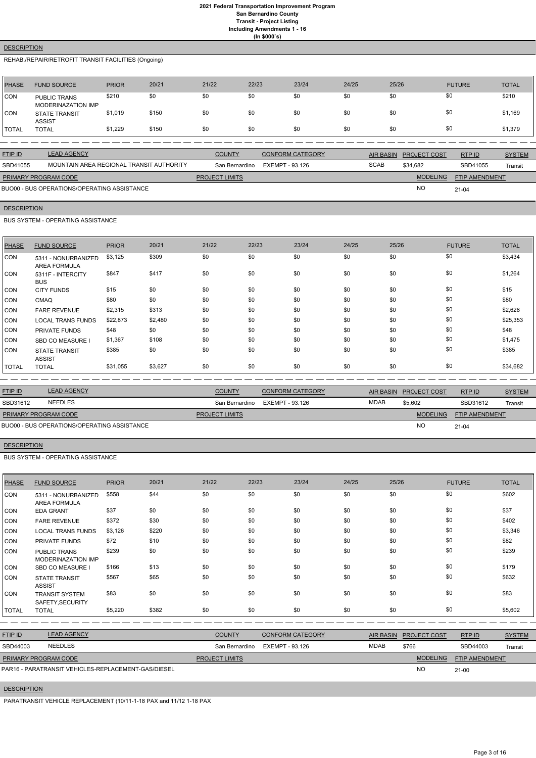## **DESCRIPTION**

REHAB./REPAIR/RETROFIT TRANSIT FACILITIES (Ongoing)

| <b>PHASE</b>                                                                                                                     | <b>FUND SOURCE</b>                          | <b>PRIOR</b> | 20/21 | 21/22                 | 22/23 | 23/24                   | 24/25 | 25/26            |                     | <b>FUTURE</b>         | <b>TOTAL</b>  |
|----------------------------------------------------------------------------------------------------------------------------------|---------------------------------------------|--------------|-------|-----------------------|-------|-------------------------|-------|------------------|---------------------|-----------------------|---------------|
| ICON                                                                                                                             | <b>PUBLIC TRANS</b><br>MODERINAZATION IMP   | \$210        | \$0   | \$0                   | \$0   | \$0                     | \$0   | \$0              | \$0                 |                       | \$210         |
| CON                                                                                                                              | <b>STATE TRANSIT</b><br><b>ASSIST</b>       | \$1,019      | \$150 | \$0                   | \$0   | \$0                     | \$0   | \$0              | \$0                 |                       | \$1,169       |
| <b>TOTAL</b>                                                                                                                     | <b>TOTAL</b>                                | \$1,229      | \$150 | \$0                   | \$0   | \$0                     | \$0   | \$0              | \$0                 |                       | \$1,379       |
|                                                                                                                                  |                                             |              |       |                       |       |                         |       |                  |                     |                       |               |
| FTIP ID                                                                                                                          | <b>LEAD AGENCY</b>                          |              |       | <b>COUNTY</b>         |       | <b>CONFORM CATEGORY</b> |       | <b>AIR BASIN</b> | <b>PROJECT COST</b> | RTP ID                | <b>SYSTEM</b> |
| MOUNTAIN AREA REGIONAL TRANSIT AUTHORITY<br><b>SCAB</b><br>SBD41055<br>EXEMPT - 93.126<br>\$34,682<br>SBD41055<br>San Bernardino |                                             |              |       |                       |       |                         |       |                  |                     | Transit               |               |
|                                                                                                                                  | PRIMARY PROGRAM CODE                        |              |       | <b>PROJECT LIMITS</b> |       |                         |       |                  | <b>MODELING</b>     | <b>FTIP AMENDMENT</b> |               |
|                                                                                                                                  | BUO00 - BUS OPERATIONS/OPERATING ASSISTANCE |              |       |                       |       |                         |       |                  | <b>NO</b>           | $21 - 04$             |               |

## **DESCRIPTION**

BUS SYSTEM - OPERATING ASSISTANCE

| <b>PHASE</b> | <b>FUND SOURCE</b>                         | <b>PRIOR</b> | 20/21   | 21/22 | 22/23 | 23/24 | 24/25 | 25/26 | <b>FUTURE</b> | <b>TOTAL</b> |
|--------------|--------------------------------------------|--------------|---------|-------|-------|-------|-------|-------|---------------|--------------|
| <b>CON</b>   | 5311 - NONURBANIZED<br><b>AREA FORMULA</b> | \$3,125      | \$309   | \$0   | \$0   | \$0   | \$0   | \$0   | \$0           | \$3,434      |
| <b>CON</b>   | 5311F - INTERCITY<br><b>BUS</b>            | \$847        | \$417   | \$0   | \$0   | \$0   | \$0   | \$0   | \$0           | \$1,264      |
| <b>CON</b>   | <b>CITY FUNDS</b>                          | \$15         | \$0     | \$0   | \$0   | \$0   | \$0   | \$0   | \$0           | \$15         |
| <b>CON</b>   | <b>CMAQ</b>                                | \$80         | \$0     | \$0   | \$0   | \$0   | \$0   | \$0   | \$0           | \$80         |
| <b>CON</b>   | <b>FARE REVENUE</b>                        | \$2,315      | \$313   | \$0   | \$0   | \$0   | \$0   | \$0   | \$0           | \$2,628      |
| <b>CON</b>   | <b>LOCAL TRANS FUNDS</b>                   | \$22,873     | \$2,480 | \$0   | \$0   | \$0   | \$0   | \$0   | \$0           | \$25,353     |
| <b>CON</b>   | <b>PRIVATE FUNDS</b>                       | \$48         | \$0     | \$0   | \$0   | \$0   | \$0   | \$0   | \$0           | \$48         |
| <b>CON</b>   | <b>SBD CO MEASURE</b>                      | \$1,367      | \$108   | \$0   | \$0   | \$0   | \$0   | \$0   | \$0           | \$1,475      |
| <b>CON</b>   | <b>STATE TRANSIT</b><br><b>ASSIST</b>      | \$385        | \$0     | \$0   | \$0   | \$0   | \$0   | \$0   | \$0           | \$385        |
| <b>TOTAL</b> | <b>TOTAL</b>                               | \$31,055     | \$3,627 | \$0   | \$0   | \$0   | \$0   | \$0   | \$0           | \$34,682     |

| <b>FTIP ID</b>              | <b>LEAD AGENCY</b>                          | <b>COUNTY</b>         | <b>CONFORM CATEGORY</b> | AIR BASIN   | <b>PROJECT COST</b> | RTP ID                | <b>SYSTEM</b> |
|-----------------------------|---------------------------------------------|-----------------------|-------------------------|-------------|---------------------|-----------------------|---------------|
| SBD31612                    | <b>NEEDLES</b>                              | San Bernardino        | EXEMPT - 93.126         | <b>MDAB</b> | \$5,602             | SBD31612              | Transit       |
| <b>PRIMARY PROGRAM CODE</b> |                                             | <b>PROJECT LIMITS</b> |                         |             | <b>MODELING</b>     | <b>FTIP AMENDMENT</b> |               |
|                             | BUO00 - BUS OPERATIONS/OPERATING ASSISTANCE |                       |                         |             | NO                  | 21-04                 |               |

## **DESCRIPTION**

BUS SYSTEM - OPERATING ASSISTANCE

| <b>PHASE</b>   | <b>FUND SOURCE</b>                                  | <b>PRIOR</b> | 20/21 | 21/22                 | 22/23 | 23/24                   | 24/25 | 25/26            |                     | <b>FUTURE</b>  | <b>TOTAL</b>  |
|----------------|-----------------------------------------------------|--------------|-------|-----------------------|-------|-------------------------|-------|------------------|---------------------|----------------|---------------|
| <b>CON</b>     | 5311 - NONURBANIZED<br><b>AREA FORMULA</b>          | \$558        | \$44  | \$0                   | \$0   | \$0                     | \$0   | \$0              |                     | \$0            | \$602         |
| CON            | <b>EDA GRANT</b>                                    | \$37         | \$0   | \$0                   | \$0   | \$0                     | \$0   | \$0              |                     | \$0            | \$37          |
| CON            | <b>FARE REVENUE</b>                                 | \$372        | \$30  | \$0                   | \$0   | \$0                     | \$0   | \$0              |                     | \$0            | \$402         |
| CON            | <b>LOCAL TRANS FUNDS</b>                            | \$3,126      | \$220 | \$0                   | \$0   | \$0                     | \$0   | \$0              |                     | \$0            | \$3,346       |
| CON            | PRIVATE FUNDS                                       | \$72         | \$10  | \$0                   | \$0   | \$0                     | \$0   | \$0              |                     | \$0            | \$82          |
| CON            | <b>PUBLIC TRANS</b><br><b>MODERINAZATION IMP</b>    | \$239        | \$0   | \$0                   | \$0   | \$0                     | \$0   | \$0              |                     | \$0            | \$239         |
| CON            | <b>SBD CO MEASURE I</b>                             | \$166        | \$13  | \$0                   | \$0   | \$0                     | \$0   | \$0              |                     | \$0            | \$179         |
| CON            | <b>STATE TRANSIT</b><br><b>ASSIST</b>               | \$567        | \$65  | \$0                   | \$0   | \$0                     | \$0   | \$0              |                     | \$0            | \$632         |
| ICON           | <b>TRANSIT SYSTEM</b><br>SAFETY, SECURITY           | \$83         | \$0   | \$0                   | \$0   | \$0                     | \$0   | \$0              |                     | \$0            | \$83          |
| <b>TOTAL</b>   | <b>TOTAL</b>                                        | \$5,220      | \$382 | \$0                   | \$0   | \$0                     | \$0   | \$0              |                     | \$0            | \$5,602       |
|                |                                                     |              |       |                       |       |                         |       |                  |                     |                |               |
| <b>FTIP ID</b> | <b>LEAD AGENCY</b>                                  |              |       | <b>COUNTY</b>         |       | <b>CONFORM CATEGORY</b> |       | <b>AIR BASIN</b> | <b>PROJECT COST</b> | RTP ID         | <b>SYSTEM</b> |
| SBD44003       | <b>NEEDLES</b>                                      |              |       | San Bernardino        |       | <b>EXEMPT - 93.126</b>  |       | <b>MDAB</b>      | \$766               | SBD44003       | Transit       |
|                | PRIMARY PROGRAM CODE                                |              |       | <b>PROJECT LIMITS</b> |       |                         |       |                  | <b>MODELING</b>     | FTIP AMENDMENT |               |
|                | PAR16 - PARATRANSIT VEHICLES-REPLACEMENT-GAS/DIESEL |              |       |                       |       |                         |       |                  | <b>NO</b>           | $21-00$        |               |

## **DESCRIPTION**

PARATRANSIT VEHICLE REPLACEMENT (10/11-1-18 PAX and 11/12 1-18 PAX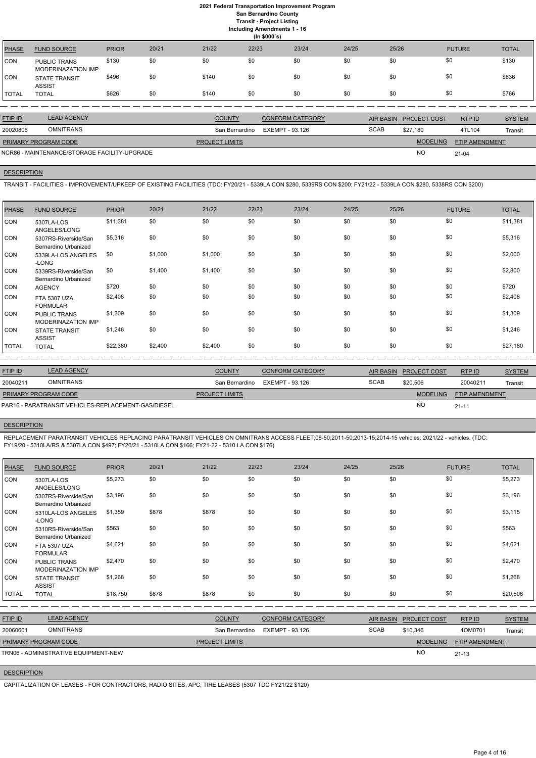|              | (ln \$000's)                              |              |       |       |       |       |       |       |               |              |  |
|--------------|-------------------------------------------|--------------|-------|-------|-------|-------|-------|-------|---------------|--------------|--|
| <b>PHASE</b> | <b>FUND SOURCE</b>                        | <b>PRIOR</b> | 20/21 | 21/22 | 22/23 | 23/24 | 24/25 | 25/26 | <b>FUTURE</b> | <b>TOTAL</b> |  |
| CON          | <b>PUBLIC TRANS</b><br>MODERINAZATION IMP | \$130        | \$0   | \$0   | \$0   | \$0   | \$0   | \$0   | \$0           | \$130        |  |
| CON          | <b>STATE TRANSIT</b><br><b>ASSIST</b>     | \$496        | \$0   | \$140 | \$0   | \$0   | \$0   | \$0   | \$0           | \$636        |  |
| <b>TOTAL</b> | <b>TOTAL</b>                              | \$626        | \$0   | \$140 | \$0   | \$0   | \$0   | \$0   | \$0           | \$766        |  |

| <b>FTIP ID</b>              | <b>LEAD AGENCY</b>                           | <b>COUNTY</b>         | <b>CONFORM CATEGORY</b> |             | AIR BASIN PROJECT COST | RTP ID                | <b>SYSTEM</b> |
|-----------------------------|----------------------------------------------|-----------------------|-------------------------|-------------|------------------------|-----------------------|---------------|
| 20020806                    | <b>OMNITRANS</b>                             | San Bernardino        | EXEMPT - 93.126         | <b>SCAB</b> | \$27.180               | 4TL104                | Transit       |
| <b>PRIMARY PROGRAM CODE</b> |                                              | <b>PROJECT LIMITS</b> |                         |             | <b>MODELING</b>        | <b>FTIP AMENDMENT</b> |               |
|                             | NCR86 - MAINTENANCE/STORAGE FACILITY-UPGRADE |                       |                         |             | <b>NO</b>              | $21 - 04$             |               |

## **DESCRIPTION**

TRANSIT - FACILITIES - IMPROVEMENT/UPKEEP OF EXISTING FACILITIES (TDC: FY20/21 - 5339LA CON \$280, 5339RS CON \$200; FY21/22 - 5339LA CON \$280, 5338RS CON \$200)

| PHASE        | <b>FUND SOURCE</b>                           | <b>PRIOR</b> | 20/21   | 21/22   | 22/23 | 23/24 | 24/25 | 25/26 | <b>FUTURE</b> | <b>TOTAL</b> |
|--------------|----------------------------------------------|--------------|---------|---------|-------|-------|-------|-------|---------------|--------------|
| CON          | 5307LA-LOS<br>ANGELES/LONG                   | \$11,381     | \$0     | \$0     | \$0   | \$0   | \$0   | \$0   | \$0           | \$11,381     |
| CON          | 5307RS-Riverside/San<br>Bernardino Urbanized | \$5,316      | \$0     | \$0     | \$0   | \$0   | \$0   | \$0   | \$0           | \$5,316      |
| <b>CON</b>   | 5339LA-LOS ANGELES<br>-LONG                  | \$0          | \$1,000 | \$1,000 | \$0   | \$0   | \$0   | \$0   | \$0           | \$2,000      |
| CON          | 5339RS-Riverside/San<br>Bernardino Urbanized | \$0          | \$1,400 | \$1,400 | \$0   | \$0   | \$0   | \$0   | \$0           | \$2,800      |
| CON          | <b>AGENCY</b>                                | \$720        | \$0     | \$0     | \$0   | \$0   | \$0   | \$0   | \$0           | \$720        |
| <b>CON</b>   | <b>FTA 5307 UZA</b><br><b>FORMULAR</b>       | \$2,408      | \$0     | \$0     | \$0   | \$0   | \$0   | \$0   | \$0           | \$2,408      |
| CON          | <b>PUBLIC TRANS</b><br>MODERINAZATION IMP    | \$1,309      | \$0     | \$0     | \$0   | \$0   | \$0   | \$0   | \$0           | \$1,309      |
| CON          | <b>STATE TRANSIT</b><br><b>ASSIST</b>        | \$1,246      | \$0     | \$0     | \$0   | \$0   | \$0   | \$0   | \$0           | \$1,246      |
| <b>TOTAL</b> | <b>TOTAL</b>                                 | \$22,380     | \$2,400 | \$2,400 | \$0   | \$0   | \$0   | \$0   | \$0           | \$27,180     |

| <b>FTIP ID</b>              | <b>LEAD AGENCY</b>                                  | <b>COUNTY</b>         | <b>CONFORM CATEGORY</b> | AIR BASIN   | <b>PROJECT COST</b> | RTPID                 | <b>SYSTEM</b> |
|-----------------------------|-----------------------------------------------------|-----------------------|-------------------------|-------------|---------------------|-----------------------|---------------|
| 20040211                    | <b>OMNITRANS</b>                                    | San Bernardino        | EXEMPT - 93.126         | <b>SCAB</b> | \$20,506            | 20040211              | Transit       |
| <b>PRIMARY PROGRAM CODE</b> |                                                     | <b>PROJECT LIMITS</b> |                         |             | <b>MODELING</b>     | <b>FTIP AMENDMENT</b> |               |
|                             | PAR16 - PARATRANSIT VEHICLES-REPLACEMENT-GAS/DIESEL |                       |                         |             | <b>NO</b>           | $21 - 11$             |               |

## **DESCRIPTION**

REPLACEMENT PARATRANSIT VEHICLES REPLACING PARATRANSIT VEHICLES ON OMNITRANS ACCESS FLEET;08-50;2011-50;2013-15;2014-15 vehicles; 2021/22 - vehicles. (TDC: FY19/20 - 5310LA/RS & 5307LA CON \$497; FY20/21 - 5310LA CON \$166; FY21-22 - 5310 LA CON \$176)

| PHASE          | <b>FUND SOURCE</b>                               | <b>PRIOR</b> | 20/21 | 21/22                 | 22/23                  | 23/24                   | 24/25 | 25/26            |                     | <b>FUTURE</b>         | <b>TOTAL</b>  |
|----------------|--------------------------------------------------|--------------|-------|-----------------------|------------------------|-------------------------|-------|------------------|---------------------|-----------------------|---------------|
| CON            | 5307LA-LOS<br>ANGELES/LONG                       | \$5,273      | \$0   | \$0                   | \$0                    | \$0                     | \$0   | \$0              |                     | \$0                   | \$5,273       |
| CON            | 5307RS-Riverside/San<br>Bernardino Urbanized     | \$3,196      | \$0   | \$0                   | \$0                    | \$0                     | \$0   | \$0              |                     | \$0                   | \$3,196       |
| CON            | 5310LA-LOS ANGELES<br>-LONG                      | \$1,359      | \$878 | \$878                 | \$0                    | \$0                     | \$0   | \$0              |                     | \$0                   | \$3,115       |
| CON            | 5310RS-Riverside/San<br>Bernardino Urbanized     | \$563        | \$0   | \$0                   | \$0                    | \$0                     | \$0   | \$0              |                     | \$0                   | \$563         |
| CON            | <b>FTA 5307 UZA</b><br><b>FORMULAR</b>           | \$4,621      | \$0   | \$0                   | \$0                    | \$0                     | \$0   | \$0              |                     | \$0                   | \$4,621       |
| CON            | <b>PUBLIC TRANS</b><br><b>MODERINAZATION IMP</b> | \$2,470      | \$0   | \$0                   | \$0                    | \$0                     | \$0   | \$0              |                     | \$0                   | \$2,470       |
| CON            | <b>STATE TRANSIT</b><br><b>ASSIST</b>            | \$1,268      | \$0   | \$0                   | \$0                    | \$0                     | \$0   | \$0              |                     | \$0                   | \$1,268       |
| TOTAL          | <b>TOTAL</b>                                     | \$18,750     | \$878 | \$878                 | \$0                    | \$0                     | \$0   | \$0              |                     | \$0                   | \$20,506      |
|                |                                                  |              |       |                       |                        |                         |       |                  |                     |                       |               |
| <b>FTIP ID</b> | <b>LEAD AGENCY</b>                               |              |       | <b>COUNTY</b>         |                        | <b>CONFORM CATEGORY</b> |       | <b>AIR BASIN</b> | <b>PROJECT COST</b> | RTP ID                | <b>SYSTEM</b> |
| 20060601       | <b>OMNITRANS</b>                                 |              |       | San Bernardino        | <b>EXEMPT - 93.126</b> |                         |       | <b>SCAB</b>      | \$10,346            | 4OM0701               | Transit       |
|                | PRIMARY PROGRAM CODE                             |              |       | <b>PROJECT LIMITS</b> |                        |                         |       |                  | <b>MODELING</b>     | <b>FTIP AMENDMENT</b> |               |
|                | TRN06 - ADMINISTRATIVE EQUIPMENT-NEW             |              |       |                       |                        |                         |       |                  | <b>NO</b>           | $21 - 13$             |               |
|                |                                                  |              |       |                       |                        |                         |       |                  |                     |                       |               |

#### **DESCRIPTION**

CAPITALIZATION OF LEASES - FOR CONTRACTORS, RADIO SITES, APC, TIRE LEASES (5307 TDC FY21/22 \$120)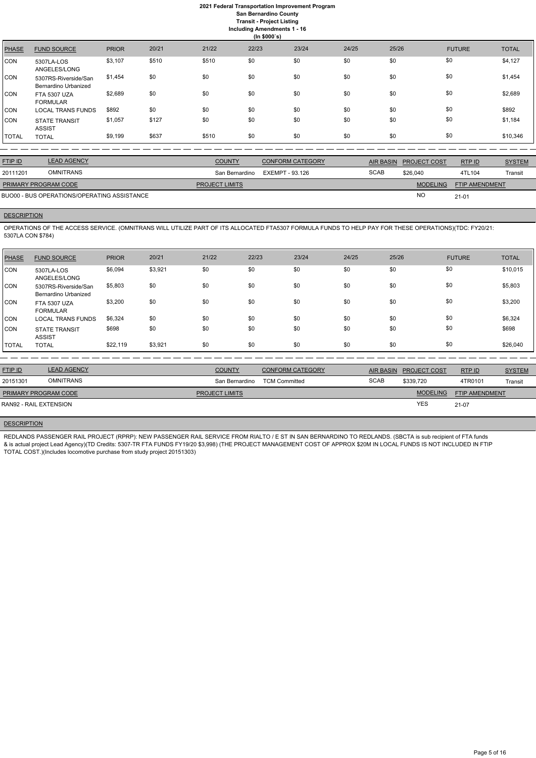| 22/23<br>20/21<br>21/22<br>23/24<br>24/25<br>25/26<br><b>FUTURE</b><br><b>PHASE</b><br><b>FUND SOURCE</b><br><b>PRIOR</b><br>\$0<br>\$510<br>\$0<br>\$0<br>\$0<br>\$0<br>\$3,107<br>\$510<br>CON<br>5307LA-LOS<br>ANGELES/LONG<br>\$0<br>\$0<br>\$0<br>\$0<br>\$0<br>\$0<br>\$0<br>\$1,454<br><b>CON</b><br>5307RS-Riverside/San<br>Bernardino Urbanized<br>\$0<br>\$0<br>\$0<br>\$0<br>\$0<br>\$0<br>\$0<br>\$2,689<br>CON<br><b>FTA 5307 UZA</b><br><b>FORMULAR</b><br>\$0<br>\$0<br>\$0<br>\$0<br>\$0<br>\$0<br>\$0<br>\$892<br>\$892<br><b>CON</b><br><b>LOCAL TRANS FUNDS</b><br>\$0<br>\$0<br>\$0<br>\$0<br>\$0<br>\$0<br>\$127<br>\$1,057<br><b>CON</b><br><b>STATE TRANSIT</b><br><b>ASSIST</b><br>\$0<br>\$0<br>\$0<br>\$0<br>\$637<br>\$510<br>\$0<br>\$9,199<br><b>TOTAL</b><br><b>TOTAL</b> | (ln \$000's) |  |  |  |  |  |  |  |  |              |  |  |
|---------------------------------------------------------------------------------------------------------------------------------------------------------------------------------------------------------------------------------------------------------------------------------------------------------------------------------------------------------------------------------------------------------------------------------------------------------------------------------------------------------------------------------------------------------------------------------------------------------------------------------------------------------------------------------------------------------------------------------------------------------------------------------------------------------|--------------|--|--|--|--|--|--|--|--|--------------|--|--|
|                                                                                                                                                                                                                                                                                                                                                                                                                                                                                                                                                                                                                                                                                                                                                                                                         |              |  |  |  |  |  |  |  |  | <b>TOTAL</b> |  |  |
|                                                                                                                                                                                                                                                                                                                                                                                                                                                                                                                                                                                                                                                                                                                                                                                                         |              |  |  |  |  |  |  |  |  | \$4,127      |  |  |
|                                                                                                                                                                                                                                                                                                                                                                                                                                                                                                                                                                                                                                                                                                                                                                                                         |              |  |  |  |  |  |  |  |  | \$1,454      |  |  |
|                                                                                                                                                                                                                                                                                                                                                                                                                                                                                                                                                                                                                                                                                                                                                                                                         |              |  |  |  |  |  |  |  |  | \$2,689      |  |  |
|                                                                                                                                                                                                                                                                                                                                                                                                                                                                                                                                                                                                                                                                                                                                                                                                         |              |  |  |  |  |  |  |  |  |              |  |  |
|                                                                                                                                                                                                                                                                                                                                                                                                                                                                                                                                                                                                                                                                                                                                                                                                         |              |  |  |  |  |  |  |  |  | \$1,184      |  |  |
|                                                                                                                                                                                                                                                                                                                                                                                                                                                                                                                                                                                                                                                                                                                                                                                                         |              |  |  |  |  |  |  |  |  | \$10,346     |  |  |

| <b>FTIP ID</b>              | <b>LEAD AGENCY</b>                          | <b>COUNTY</b>         | <b>CONFORM CATEGORY</b> |             | AIR BASIN PROJECT COST | RTPID                 | <b>SYSTEM</b> |
|-----------------------------|---------------------------------------------|-----------------------|-------------------------|-------------|------------------------|-----------------------|---------------|
| 20111201                    | <b>OMNITRANS</b>                            | San Bernardino        | EXEMPT - 93.126         | <b>SCAB</b> | \$26,040               | 4TL104                | Transit       |
| <b>PRIMARY PROGRAM CODE</b> |                                             | <b>PROJECT LIMITS</b> |                         |             | <b>MODELING</b>        | <b>FTIP AMENDMENT</b> |               |
|                             | BUO00 - BUS OPERATIONS/OPERATING ASSISTANCE |                       |                         |             | <b>NC</b>              | $21 - 01$             |               |

#### **DESCRIPTION**

OPERATIONS OF THE ACCESS SERVICE. (OMNITRANS WILL UTILIZE PART OF ITS ALLOCATED FTA5307 FORMULA FUNDS TO HELP PAY FOR THESE OPERATIONS)(TDC: FY20/21: 5307LA CON \$784)

| <b>PHASE</b> | <b>FUND SOURCE</b>                           | <b>PRIOR</b> | 20/21   | 21/22 | 22/23 | 23/24 | 24/25 | 25/26 | <b>FUTURE</b> | <b>TOTAL</b> |
|--------------|----------------------------------------------|--------------|---------|-------|-------|-------|-------|-------|---------------|--------------|
| <b>CON</b>   | 5307LA-LOS<br>ANGELES/LONG                   | \$6,094      | \$3,921 | \$0   | \$0   | \$0   | \$0   | \$0   | \$0           | \$10,015     |
| <b>CON</b>   | 5307RS-Riverside/San<br>Bernardino Urbanized | \$5,803      | \$0     | \$0   | \$0   | \$0   | \$0   | \$0   | \$0           | \$5,803      |
| <b>CON</b>   | <b>FTA 5307 UZA</b><br><b>FORMULAR</b>       | \$3,200      | \$0     | \$0   | \$0   | \$0   | \$0   | \$0   | \$0           | \$3,200      |
| <b>CON</b>   | <b>LOCAL TRANS FUNDS</b>                     | \$6,324      | \$0     | \$0   | \$0   | \$0   | \$0   | \$0   | \$0           | \$6,324      |
| <b>CON</b>   | <b>STATE TRANSIT</b><br><b>ASSIST</b>        | \$698        | \$0     | \$0   | \$0   | \$0   | \$0   | \$0   | \$0           | \$698        |
| <b>TOTAL</b> | <b>TOTAL</b>                                 | \$22,119     | \$3,921 | \$0   | \$0   | \$0   | \$0   | \$0   | \$0           | \$26,040     |

| <b>FTIP ID</b>              | <b>LEAD AGENCY</b> | <b>COUNTY</b>         | <b>CONFORM CATEGORY</b> | AIR BASIN   | <b>PROJECT COST</b> | RTPID                 | <b>SYSTEM</b> |
|-----------------------------|--------------------|-----------------------|-------------------------|-------------|---------------------|-----------------------|---------------|
| 20151301                    | <b>OMNITRANS</b>   | San Bernardino        | <b>TCM Committed</b>    | <b>SCAB</b> | \$339,720           | 4TR0101               | Transit       |
| <b>PRIMARY PROGRAM CODE</b> |                    | <b>PROJECT LIMITS</b> |                         |             | <b>MODELING</b>     | <b>FTIP AMENDMENT</b> |               |
| RAN92 - RAIL EXTENSION      |                    |                       |                         |             | <b>YES</b>          | 21-07                 |               |
|                             |                    |                       |                         |             |                     |                       |               |

#### **DESCRIPTION**

REDLANDS PASSENGER RAIL PROJECT (RPRP): NEW PASSENGER RAIL SERVICE FROM RIALTO / E ST IN SAN BERNARDINO TO REDLANDS. (SBCTA is sub recipient of FTA funds & is actual project Lead Agency)(TD Credits: 5307-TR FTA FUNDS FY19/20 \$3,998) (THE PROJECT MANAGEMENT COST OF APPROX \$20M IN LOCAL FUNDS IS NOT INCLUDED IN FTIP TOTAL COST.)(Includes locomotive purchase from study project 20151303)

Page 5 of 16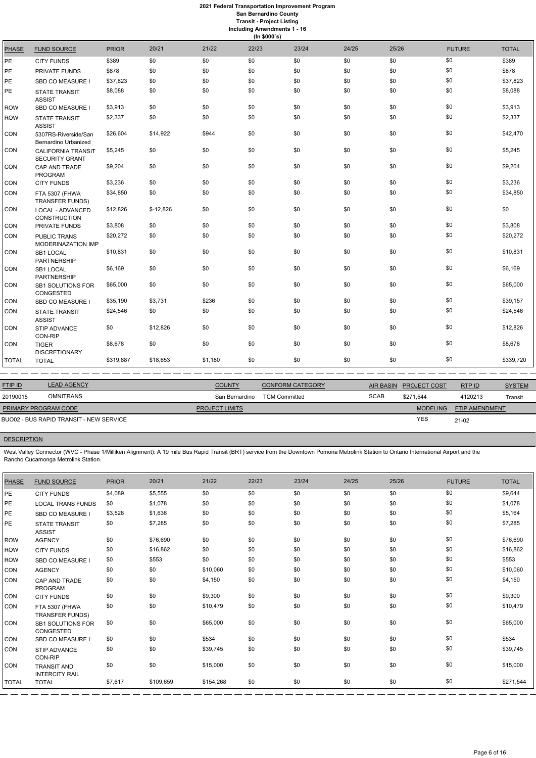|                |                                                    |              |            |               | (ln \$000's) |                         |       |                        |               |               |
|----------------|----------------------------------------------------|--------------|------------|---------------|--------------|-------------------------|-------|------------------------|---------------|---------------|
| <b>PHASE</b>   | <b>FUND SOURCE</b>                                 | <b>PRIOR</b> | 20/21      | 21/22         | 22/23        | 23/24                   | 24/25 | 25/26                  | <b>FUTURE</b> | <b>TOTAL</b>  |
| PE             | <b>CITY FUNDS</b>                                  | \$389        | \$0        | \$0           | \$0          | \$0                     | \$0   | \$0                    | \$0           | \$389         |
| PE             | PRIVATE FUNDS                                      | \$878        | \$0        | \$0           | \$0          | \$0                     | \$0   | \$0                    | \$0           | \$878         |
| PE             | SBD CO MEASURE I                                   | \$37,823     | \$0        | \$0           | \$0          | \$0                     | \$0   | \$0                    | \$0           | \$37,823      |
| PE             | <b>STATE TRANSIT</b><br><b>ASSIST</b>              | \$8,088      | \$0        | \$0           | \$0          | \$0                     | \$0   | \$0                    | \$0           | \$8,088       |
| <b>ROW</b>     | SBD CO MEASURE I                                   | \$3,913      | \$0        | \$0           | \$0          | \$0                     | \$0   | \$0                    | \$0           | \$3,913       |
| <b>ROW</b>     | <b>STATE TRANSIT</b><br><b>ASSIST</b>              | \$2,337      | \$0        | \$0           | \$0          | \$0                     | \$0   | \$0                    | \$0           | \$2,337       |
| <b>CON</b>     | 5307RS-Riverside/San<br>Bernardino Urbanized       | \$26,604     | \$14,922   | \$944         | \$0          | \$0                     | \$0   | \$0                    | \$0           | \$42,470      |
| CON            | <b>CALIFORNIA TRANSIT</b><br><b>SECURITY GRANT</b> | \$5,245      | \$0        | \$0           | \$0          | \$0                     | \$0   | \$0                    | \$0           | \$5,245       |
| CON            | CAP AND TRADE<br>PROGRAM                           | \$9,204      | \$0        | \$0           | \$0          | \$0                     | \$0   | \$0                    | \$0           | \$9,204       |
| CON            | <b>CITY FUNDS</b>                                  | \$3,236      | \$0        | \$0           | \$0          | \$0                     | \$0   | \$0                    | \$0           | \$3,236       |
| CON            | FTA 5307 (FHWA<br><b>TRANSFER FUNDS)</b>           | \$34,850     | \$0        | \$0           | \$0          | \$0                     | \$0   | \$0                    | \$0           | \$34,850      |
| CON            | LOCAL - ADVANCED<br><b>CONSTRUCTION</b>            | \$12,826     | $$-12,826$ | \$0           | \$0          | \$0                     | \$0   | \$0                    | \$0           | \$0           |
| CON            | PRIVATE FUNDS                                      | \$3,808      | \$0        | \$0           | \$0          | \$0                     | \$0   | \$0                    | \$0           | \$3,808       |
| <b>CON</b>     | <b>PUBLIC TRANS</b><br>MODERINAZATION IMP          | \$20,272     | \$0        | \$0           | \$0          | \$0                     | \$0   | \$0                    | \$0           | \$20,272      |
| <b>CON</b>     | SB1 LOCAL<br>PARTNERSHIP                           | \$10,831     | \$0        | \$0           | \$0          | \$0                     | \$0   | \$0                    | \$0           | \$10,831      |
| <b>CON</b>     | SB1 LOCAL<br>PARTNERSHIP                           | \$6,169      | \$0        | \$0           | \$0          | \$0                     | \$0   | \$0                    | \$0           | \$6,169       |
| CON            | <b>SB1 SOLUTIONS FOR</b><br>CONGESTED              | \$65,000     | \$0        | \$0           | \$0          | \$0                     | \$0   | \$0                    | \$0           | \$65,000      |
| CON            | SBD CO MEASURE I                                   | \$35,190     | \$3,731    | \$236         | \$0          | \$0                     | \$0   | \$0                    | \$0           | \$39,157      |
| CON            | <b>STATE TRANSIT</b><br><b>ASSIST</b>              | \$24,546     | \$0        | \$0           | \$0          | \$0                     | \$0   | \$0                    | \$0           | \$24,546      |
| CON            | STIP ADVANCE<br>CON-RIP                            | \$0          | \$12,826   | \$0           | \$0          | \$0                     | \$0   | \$0                    | \$0           | \$12,826      |
| <b>CON</b>     | <b>TIGER</b><br><b>DISCRETIONARY</b>               | \$8,678      | \$0        | \$0           | \$0          | \$0                     | \$0   | \$0                    | \$0           | \$8,678       |
| <b>TOTAL</b>   | <b>TOTAL</b>                                       | \$319,887    | \$18,653   | \$1,180       | \$0          | \$0                     | \$0   | \$0                    | \$0           | \$339,720     |
|                |                                                    |              |            |               |              |                         |       |                        |               |               |
| <b>FTIP ID</b> | <b>LEAD AGENCY</b>                                 |              |            | <b>COUNTY</b> |              | <b>CONFORM CATEGORY</b> |       | AIR BASIN PROJECT COST | RTP ID        | <b>SYSTEM</b> |
|                |                                                    |              |            |               |              |                         |       |                        |               |               |

West Valley Connector (WVC - Phase 1/Milliken Alignment): A 19 mile Bus Rapid Transit (BRT) service from the Downtown Pomona Metrolink Station to Ontario International Airport and the Rancho Cucamonga Metrolink Station.

| OMNITRANS<br>20190015                   | <b>TCM Committed</b><br>San Bernardino | SCAB | \$271.544       | 4120213               | Transit |
|-----------------------------------------|----------------------------------------|------|-----------------|-----------------------|---------|
| PRIMARY PROGRAM CODE                    | <b>PROJECT LIMITS</b>                  |      | <b>MODELING</b> | <b>FTIP AMENDMENT</b> |         |
| BUO02 - BUS RAPID TRANSIT - NEW SERVICE |                                        |      | <b>YES</b>      | $21-02$               |         |

# **DESCRIPTION**

| PHASE        | <b>FUND SOURCE</b>                          | <b>PRIOR</b> | 20/21     | 21/22     | 22/23 | 23/24 | 24/25 | 25/26 | <b>FUTURE</b> | <b>TOTAL</b> |
|--------------|---------------------------------------------|--------------|-----------|-----------|-------|-------|-------|-------|---------------|--------------|
| PE           | <b>CITY FUNDS</b>                           | \$4,089      | \$5,555   | \$0       | \$0   | \$0   | \$0   | \$0   | \$0           | \$9,644      |
| PE           | <b>LOCAL TRANS FUNDS</b>                    | \$0          | \$1,078   | \$0       | \$0   | \$0   | \$0   | \$0   | \$0           | \$1,078      |
| PE           | SBD CO MEASURE I                            | \$3,528      | \$1,636   | \$0       | \$0   | \$0   | \$0   | \$0   | \$0           | \$5,164      |
| PE           | <b>STATE TRANSIT</b><br><b>ASSIST</b>       | \$0          | \$7,285   | \$0       | \$0   | \$0   | \$0   | \$0   | \$0           | \$7,285      |
| ROW          | <b>AGENCY</b>                               | \$0          | \$76,690  | \$0       | \$0   | \$0   | \$0   | \$0   | \$0           | \$76,690     |
| ROW          | <b>CITY FUNDS</b>                           | \$0          | \$16,862  | \$0       | \$0   | \$0   | \$0   | \$0   | \$0           | \$16,862     |
| ROW          | SBD CO MEASURE I                            | \$0          | \$553     | \$0       | \$0   | \$0   | \$0   | \$0   | \$0           | \$553        |
| CON          | <b>AGENCY</b>                               | \$0          | \$0       | \$10,060  | \$0   | \$0   | \$0   | \$0   | \$0           | \$10,060     |
| CON          | CAP AND TRADE<br>PROGRAM                    | \$0          | \$0       | \$4,150   | \$0   | \$0   | \$0   | \$0   | \$0           | \$4,150      |
| <b>CON</b>   | <b>CITY FUNDS</b>                           | \$0          | \$0       | \$9,300   | \$0   | \$0   | \$0   | \$0   | \$0           | \$9,300      |
| <b>CON</b>   | FTA 5307 (FHWA<br><b>TRANSFER FUNDS)</b>    | \$0          | \$0       | \$10,479  | \$0   | \$0   | \$0   | \$0   | \$0           | \$10,479     |
| <b>CON</b>   | SB1 SOLUTIONS FOR<br>CONGESTED              | \$0          | \$0       | \$65,000  | \$0   | \$0   | \$0   | \$0   | \$0           | \$65,000     |
| CON          | SBD CO MEASURE I                            | \$0          | \$0       | \$534     | \$0   | \$0   | \$0   | \$0   | \$0           | \$534        |
| CON          | <b>STIP ADVANCE</b><br>CON-RIP              | \$0          | \$0       | \$39,745  | \$0   | \$0   | \$0   | \$0   | \$0           | \$39,745     |
| <b>CON</b>   | <b>TRANSIT AND</b><br><b>INTERCITY RAIL</b> | \$0          | \$0       | \$15,000  | \$0   | \$0   | \$0   | \$0   | \$0           | \$15,000     |
| <b>TOTAL</b> | <b>TOTAL</b>                                | \$7,617      | \$109,659 | \$154,268 | \$0   | \$0   | \$0   | \$0   | \$0           | \$271,544    |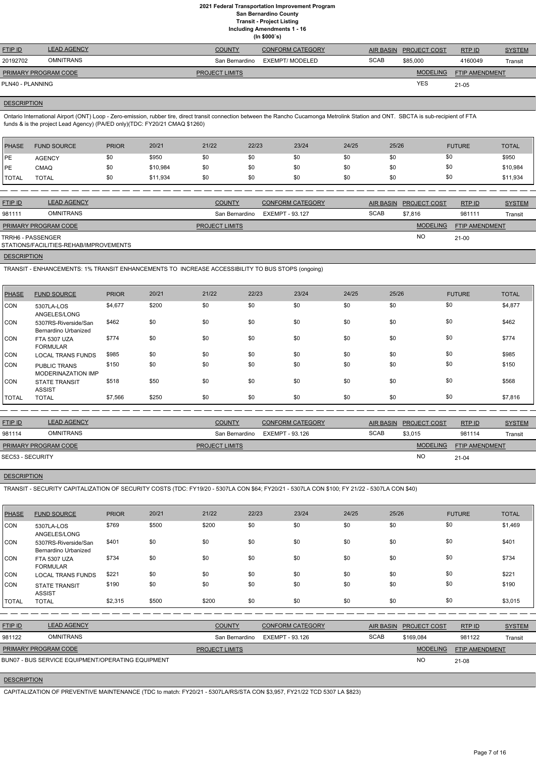|                             |                    |                       | (ln \$000's)            |                  |                     |                       |               |
|-----------------------------|--------------------|-----------------------|-------------------------|------------------|---------------------|-----------------------|---------------|
| <b>FTIP ID</b>              | <b>LEAD AGENCY</b> | <b>COUNTY</b>         | <b>CONFORM CATEGORY</b> | <b>AIR BASIN</b> | <b>PROJECT COST</b> | RTP ID                | <b>SYSTEM</b> |
| 20192702                    | <b>OMNITRANS</b>   | San Bernardino        | EXEMPT/ MODELED         | SCAB             | \$85,000            | 4160049               | Transit       |
| <b>PRIMARY PROGRAM CODE</b> |                    | <b>PROJECT LIMITS</b> |                         |                  | <b>MODELING</b>     | <b>FTIP AMENDMENT</b> |               |
| PLN40 - PLANNING            |                    |                       |                         |                  | <b>YES</b>          | $21 - 05$             |               |

#### **DESCRIPTION**

Ontario International Airport (ONT) Loop - Zero-emission, rubber tire, direct transit connection between the Rancho Cucamonga Metrolink Station and ONT. SBCTA is sub-recipient of FTA funds & is the project Lead Agency) (PA/ED only)(TDC: FY20/21 CMAQ \$1260)

| PHASE        | <b>FUND SOURCE</b> | <b>PRIOR</b> | 20/21    | 21/22 | 22/23 | 23/24 | 24/25 | 25/26 | <b>FUTURE</b> | <b>TOTAL</b> |
|--------------|--------------------|--------------|----------|-------|-------|-------|-------|-------|---------------|--------------|
| <b>IPE</b>   | AGENCY             |              | \$950    | \$0   | \$0   | \$0   | \$0   | \$0   | \$0           | \$950        |
| <b>IPE</b>   | CMAQ               |              | \$10,984 | \$0   | \$0   | \$0   | \$0   | \$0   | \$0           | \$10,984     |
| <b>TOTAL</b> | <b>TOTAL</b>       |              | \$11,934 | \$0   | \$0   | \$0   | \$0   | \$0   | \$0           | \$11,934     |

| <b>FTIP ID</b>              | <b>LEAD AGENCY</b>                     | <b>COUNTY</b>         | <b>CONFORM CATEGORY</b> | <b>AIR BASIN</b> | <b>PROJECT COST</b> | RTPID          | <b>SYSTEM</b> |
|-----------------------------|----------------------------------------|-----------------------|-------------------------|------------------|---------------------|----------------|---------------|
| 981111                      | <b>OMNITRANS</b>                       | San Bernardino        | EXEMPT - 93.127         | <b>SCAB</b>      | \$7,816             | 981111         | Transit       |
| <b>PRIMARY PROGRAM CODE</b> |                                        | <b>PROJECT LIMITS</b> |                         |                  | <b>MODELING</b>     | FTIP AMENDMENT |               |
| TRRH6 - PASSENGER           | STATIONS/FACILITIES-REHAB/IMPROVEMENTS |                       |                         |                  | <b>NO</b>           | $21 - 00$      |               |

**DESCRIPTION** 

TRANSIT - ENHANCEMENTS: 1% TRANSIT ENHANCEMENTS TO INCREASE ACCESSIBILITY TO BUS STOPS (ongoing)

| <b>PHASE</b> | <b>FUND SOURCE</b>                               | <b>PRIOR</b> | 20/21 | 21/22 | 22/23 | 23/24 | 24/25 | 25/26 | <b>FUTURE</b> | <b>TOTAL</b> |
|--------------|--------------------------------------------------|--------------|-------|-------|-------|-------|-------|-------|---------------|--------------|
| CON          | 5307LA-LOS<br>ANGELES/LONG                       | \$4,677      | \$200 | \$0   | \$0   | \$0   | \$0   | \$0   | \$0           | \$4,877      |
| ICON         | 5307RS-Riverside/San<br>Bernardino Urbanized     | \$462        | \$0   | \$0   | \$0   | \$0   | \$0   | \$0   | \$0           | \$462        |
| ICON         | <b>FTA 5307 UZA</b><br><b>FORMULAR</b>           | \$774        | \$0   | \$0   | \$0   | \$0   | \$0   | \$0   | \$0           | \$774        |
| ICON         | <b>LOCAL TRANS FUNDS</b>                         | \$985        | \$0   | \$0   | \$0   | \$0   | \$0   | \$0   | \$0           | \$985        |
| ICON         | <b>PUBLIC TRANS</b><br><b>MODERINAZATION IMP</b> | \$150        | \$0   | \$0   | \$0   | \$0   | \$0   | \$0   | \$0           | \$150        |
| ICON         | <b>STATE TRANSIT</b><br><b>ASSIST</b>            | \$518        | \$50  | \$0   | \$0   | \$0   | \$0   | \$0   | \$0           | \$568        |
| <b>TOTAL</b> | <b>TOTAL</b>                                     | \$7,566      | \$250 | \$0   | \$0   | \$0   | \$0   | \$0   | \$0           | \$7,816      |

| <b>FTIP ID</b>              | <b>LEAD AGENCY</b> | <b>COUNTY</b>         | <b>CONFORM CATEGORY</b> |             | AIR BASIN PROJECT COST | RTPID                 | <b>SYSTEM</b> |
|-----------------------------|--------------------|-----------------------|-------------------------|-------------|------------------------|-----------------------|---------------|
| 981114                      | <b>OMNITRANS</b>   | San Bernardino        | EXEMPT - 93.126         | <b>SCAB</b> | \$3,015                | 981114                | Transit       |
| <b>PRIMARY PROGRAM CODE</b> |                    | <b>PROJECT LIMITS</b> |                         |             | <b>MODELING</b>        | <b>FTIP AMENDMENT</b> |               |
| SEC53 - SECURITY            |                    |                       |                         |             | <b>NO</b>              | $21 - 04$             |               |

#### **DESCRIPTION**

TRANSIT - SECURITY CAPITALIZATION OF SECURITY COSTS (TDC: FY19/20 - 5307LA CON \$64; FY20/21 - 5307LA CON \$100; FY 21/22 - 5307LA CON \$40)

| <b>PHASE</b> | <b>FUND SOURCE</b>                                | <b>PRIOR</b> | 20/21 | 21/22                 | 22/23                  | 23/24                   | 24/25 | 25/26            |                     | <b>FUTURE</b>         | <b>TOTAL</b>  |
|--------------|---------------------------------------------------|--------------|-------|-----------------------|------------------------|-------------------------|-------|------------------|---------------------|-----------------------|---------------|
| <b>CON</b>   | 5307LA-LOS<br>ANGELES/LONG                        | \$769        | \$500 | \$200                 | \$0                    | \$0                     | \$0   | \$0              |                     | \$0                   | \$1,469       |
| <b>CON</b>   | 5307RS-Riverside/San<br>Bernardino Urbanized      | \$401        | \$0   | \$0                   | \$0                    | \$0                     | \$0   | \$0              |                     | \$0                   | \$401         |
| <b>CON</b>   | <b>FTA 5307 UZA</b><br><b>FORMULAR</b>            | \$734        | \$0   | \$0                   | \$0                    | \$0                     | \$0   | \$0              |                     | \$0                   | \$734         |
| <b>CON</b>   | <b>LOCAL TRANS FUNDS</b>                          | \$221        | \$0   | \$0                   | \$0                    | \$0                     | \$0   | \$0              |                     | \$0                   | \$221         |
| <b>CON</b>   | <b>STATE TRANSIT</b><br><b>ASSIST</b>             | \$190        | \$0   | \$0                   | \$0                    | \$0                     | \$0   | \$0              |                     | \$0                   | \$190         |
| <b>TOTAL</b> | <b>TOTAL</b>                                      | \$2,315      | \$500 | \$200                 | \$0                    | \$0                     | \$0   | \$0              |                     | \$0                   | \$3,015       |
|              |                                                   |              |       |                       |                        |                         |       |                  |                     |                       |               |
| FTIP ID      | <b>LEAD AGENCY</b>                                |              |       | <b>COUNTY</b>         |                        | <b>CONFORM CATEGORY</b> |       | <b>AIR BASIN</b> | <b>PROJECT COST</b> | RTP ID                | <b>SYSTEM</b> |
| 981122       | <b>OMNITRANS</b>                                  |              |       | San Bernardino        | <b>EXEMPT - 93.126</b> |                         |       | <b>SCAB</b>      | \$169,084           | 981122                | Transit       |
|              | PRIMARY PROGRAM CODE                              |              |       | <b>PROJECT LIMITS</b> |                        |                         |       |                  | <b>MODELING</b>     | <b>FTIP AMENDMENT</b> |               |
|              | BUN07 - BUS SERVICE EQUIPMENT/OPERATING EQUIPMENT |              |       |                       |                        |                         |       |                  | <b>NO</b>           | $21 - 08$             |               |

#### **DESCRIPTION**

CAPITALIZATION OF PREVENTIVE MAINTENANCE (TDC to match: FY20/21 - 5307LA/RS/STA CON \$3,957, FY21/22 TCD 5307 LA \$823)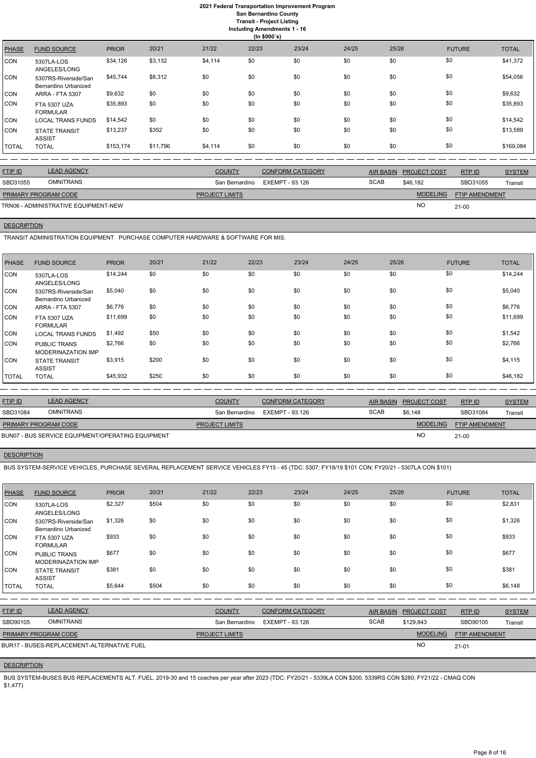|              | (ln \$000's)                                 |              |          |         |       |       |       |       |               |              |  |  |
|--------------|----------------------------------------------|--------------|----------|---------|-------|-------|-------|-------|---------------|--------------|--|--|
| <b>PHASE</b> | <b>FUND SOURCE</b>                           | <b>PRIOR</b> | 20/21    | 21/22   | 22/23 | 23/24 | 24/25 | 25/26 | <b>FUTURE</b> | <b>TOTAL</b> |  |  |
| <b>CON</b>   | 5307LA-LOS<br>ANGELES/LONG                   | \$34,126     | \$3,132  | \$4,114 | \$0   | \$0   | \$0   | \$0   | \$0           | \$41,372     |  |  |
| <b>CON</b>   | 5307RS-Riverside/San<br>Bernardino Urbanized | \$45,744     | \$8,312  | \$0     | \$0   | \$0   | \$0   | \$0   | \$0           | \$54,056     |  |  |
| CON          | <b>ARRA - FTA 5307</b>                       | \$9,632      | \$0      | \$0     | \$0   | \$0   | \$0   | \$0   | \$0           | \$9,632      |  |  |
| CON          | <b>FTA 5307 UZA</b><br><b>FORMULAR</b>       | \$35,893     | \$0      | \$0     | \$0   | \$0   | \$0   | \$0   | \$0           | \$35,893     |  |  |
| CON          | <b>LOCAL TRANS FUNDS</b>                     | \$14,542     | \$0      | \$0     | \$0   | \$0   | \$0   | \$0   | \$0           | \$14,542     |  |  |
| <b>CON</b>   | <b>STATE TRANSIT</b><br><b>ASSIST</b>        | \$13,237     | \$352    | \$0     | \$0   | \$0   | \$0   | \$0   | \$0           | \$13,589     |  |  |
| TOTAL        | <b>TOTAL</b>                                 | \$153,174    | \$11,796 | \$4,114 | \$0   | \$0   | \$0   | \$0   | \$0           | \$169,084    |  |  |

| <b>FTIP ID</b>              | <b>LEAD AGENCY</b>                   | <b>COUNTY</b>         | <b>CONFORM CATEGORY</b> |             | AIR BASIN PROJECT COST | RTPID          | <b>SYSTEM</b> |
|-----------------------------|--------------------------------------|-----------------------|-------------------------|-------------|------------------------|----------------|---------------|
| SBD31055                    | <b>OMNITRANS</b>                     | San Bernardino        | EXEMPT - 93.126         | <b>SCAB</b> | \$46,182               | SBD31055       | Transit       |
| <b>PRIMARY PROGRAM CODE</b> |                                      | <b>PROJECT LIMITS</b> |                         |             | <b>MODELING</b>        | FTIP AMENDMENT |               |
|                             | TRN06 - ADMINISTRATIVE EQUIPMENT-NEW |                       |                         |             | <b>NC</b>              | $21 - 00$      |               |

#### **DESCRIPTION**

TRANSIT ADMINISTRATION EQUIPMENT PURCHASE COMPUTER HARDWARE & SOFTWARE FOR MIS.

| <b>PHASE</b> | <b>FUND SOURCE</b>                                  | <b>PRIOR</b> | 20/21 | 21/22 | 22/23 | 23/24 | 24/25 | 25/26 | <b>FUTURE</b> | <b>TOTAL</b> |
|--------------|-----------------------------------------------------|--------------|-------|-------|-------|-------|-------|-------|---------------|--------------|
| <b>CON</b>   | 5307LA-LOS<br>ANGELES/LONG                          | \$14,244     | \$0   | \$0   | \$0   | \$0   | \$0   | \$0   | \$0           | \$14,244     |
| <b>CON</b>   | 5307RS-Riverside/San<br><b>Bernardino Urbanized</b> | \$5,040      | \$0   | \$0   | \$0   | \$0   | \$0   | \$0   | \$0           | \$5,040      |
| <b>CON</b>   | <b>ARRA - FTA 5307</b>                              | \$6,776      | \$0   | \$0   | \$0   | \$0   | \$0   | \$0   | \$0           | \$6,776      |
| <b>CON</b>   | <b>FTA 5307 UZA</b><br><b>FORMULAR</b>              | \$11,699     | \$0   | \$0   | \$0   | \$0   | \$0   | \$0   | \$0           | \$11,699     |
| <b>CON</b>   | <b>LOCAL TRANS FUNDS</b>                            | \$1,492      | \$50  | \$0   | \$0   | \$0   | \$0   | \$0   | \$0           | \$1,542      |
| <b>CON</b>   | <b>PUBLIC TRANS</b><br><b>MODERINAZATION IMP</b>    | \$2,766      | \$0   | \$0   | \$0   | \$0   | \$0   | \$0   | \$0           | \$2,766      |
| <b>CON</b>   | <b>STATE TRANSIT</b><br><b>ASSIST</b>               | \$3,915      | \$200 | \$0   | \$0   | \$0   | \$0   | \$0   | \$0           | \$4,115      |
| <b>TOTAL</b> | <b>TOTAL</b>                                        | \$45,932     | \$250 | \$0   | \$0   | \$0   | \$0   | \$0   | \$0           | \$46,182     |

| <b>FTIP ID</b>              | <b>LEAD AGENCY</b>                                | <b>COUNTY</b>         | <b>CONFORM CATEGORY</b> |             | <b>AIR BASIN PROJECT COST</b> | <b>RTPID</b>          | <b>SYSTEM</b> |
|-----------------------------|---------------------------------------------------|-----------------------|-------------------------|-------------|-------------------------------|-----------------------|---------------|
| SBD31084                    | <b>OMNITRANS</b>                                  | San Bernardino        | EXEMPT - 93.126         | <b>SCAB</b> | \$6.148                       | SBD31084              | Transit       |
| <b>PRIMARY PROGRAM CODE</b> |                                                   | <b>PROJECT LIMITS</b> |                         |             | <b>MODELING</b>               | <b>FTIP AMENDMENT</b> |               |
|                             | BUN07 - BUS SERVICE EQUIPMENT/OPERATING EQUIPMENT |                       |                         |             | <b>NC</b>                     | $21 - 00$             |               |

## **DESCRIPTION**

BUS SYSTEM-SERVICE VEHICLES, PURCHASE SEVERAL REPLACEMENT SERVICE VEHICLES FY15 - 45 (TDC: 5307; FY18/19 \$101 CON; FY20/21 - 5307LA CON \$101)

| <b>PHASE</b> | <b>FUND SOURCE</b>                           | <b>PRIOR</b> | 20/21 | 21/22                 | 22/23                  | 23/24                   | 24/25       | 25/26            |                     | <b>FUTURE</b>         | <b>TOTAL</b>  |
|--------------|----------------------------------------------|--------------|-------|-----------------------|------------------------|-------------------------|-------------|------------------|---------------------|-----------------------|---------------|
| <b>CON</b>   | 5307LA-LOS<br>ANGELES/LONG                   | \$2,327      | \$504 | \$0                   | \$0                    | \$0                     | \$0         | \$0              |                     | \$0                   | \$2,831       |
| CON          | 5307RS-Riverside/San<br>Bernardino Urbanized | \$1,326      | \$0   | \$0                   | \$0                    | \$0                     | \$0         | \$0              |                     | \$0                   | \$1,326       |
| CON          | <b>FTA 5307 UZA</b><br><b>FORMULAR</b>       | \$933        | \$0   | \$0                   | \$0                    | \$0                     | \$0         | \$0              |                     | \$0                   | \$933         |
| <b>CON</b>   | <b>PUBLIC TRANS</b><br>MODERINAZATION IMP    | \$677        | \$0   | \$0                   | \$0                    | \$0                     | \$0         | \$0              |                     | \$0                   | \$677         |
| <b>CON</b>   | <b>STATE TRANSIT</b><br><b>ASSIST</b>        | \$381        | \$0   | \$0                   | \$0                    | \$0                     | \$0         | \$0              |                     | \$0                   | \$381         |
| <b>TOTAL</b> | <b>TOTAL</b>                                 | \$5,644      | \$504 | \$0                   | \$0                    | \$0                     | \$0         | \$0              |                     | \$0                   | \$6,148       |
|              |                                              |              |       |                       |                        |                         |             |                  |                     |                       |               |
| FTIP ID      | <b>LEAD AGENCY</b>                           |              |       | <b>COUNTY</b>         |                        | <b>CONFORM CATEGORY</b> |             | <b>AIR BASIN</b> | <b>PROJECT COST</b> | RTP ID                | <b>SYSTEM</b> |
| SBD90105     | <b>OMNITRANS</b>                             |              |       | San Bernardino        | <b>EXEMPT - 93.126</b> |                         | <b>SCAB</b> |                  | \$129,843           | SBD90105              | Transit       |
|              | PRIMARY PROGRAM CODE                         |              |       | <b>PROJECT LIMITS</b> |                        |                         |             |                  | <b>MODELING</b>     | <b>FTIP AMENDMENT</b> |               |
|              | BUR17 - BUSES-REPLACEMENT-ALTERNATIVE FUEL   |              |       |                       |                        |                         |             |                  | <b>NO</b>           | $21 - 01$             |               |

#### **DESCRIPTION**

BUS SYSTEM-BUSES BUS REPLACEMENTS ALT. FUEL, 2019-30 and 15 coaches per year after 2023 (TDC: FY20/21 - 5339LA CON \$200, 5339RS CON \$280; FY21/22 - CMAQ CON \$1,477)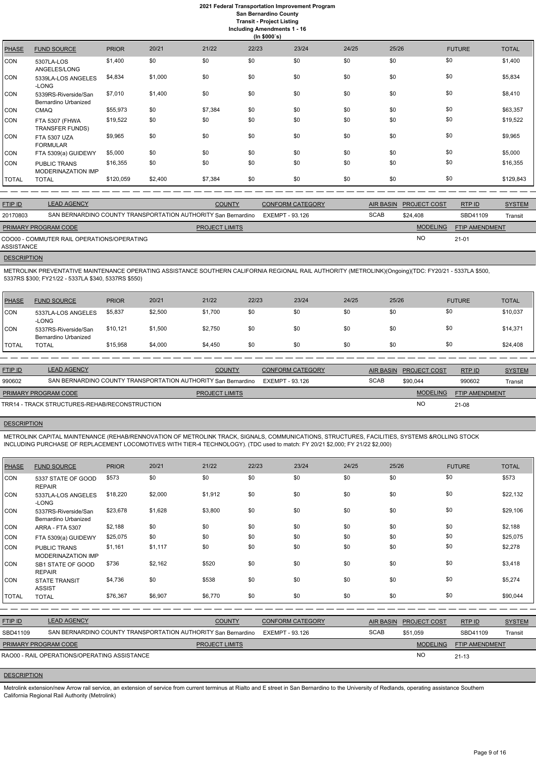## **2021 Federal Transportation Improvement Program San Bernardino County Transit - Project Listing**

**Including Amendments 1 - 16**

|              | (ln \$000's)                                 |              |         |         |       |       |       |       |               |              |  |  |
|--------------|----------------------------------------------|--------------|---------|---------|-------|-------|-------|-------|---------------|--------------|--|--|
| <b>PHASE</b> | <b>FUND SOURCE</b>                           | <b>PRIOR</b> | 20/21   | 21/22   | 22/23 | 23/24 | 24/25 | 25/26 | <b>FUTURE</b> | <b>TOTAL</b> |  |  |
| <b>CON</b>   | 5307LA-LOS<br>ANGELES/LONG                   | \$1,400      | \$0     | \$0     | \$0   | \$0   | \$0   | \$0   | \$0           | \$1,400      |  |  |
| CON          | 5339LA-LOS ANGELES<br>-LONG                  | \$4,834      | \$1,000 | \$0     | \$0   | \$0   | \$0   | \$0   | \$0           | \$5,834      |  |  |
| CON          | 5339RS-Riverside/San<br>Bernardino Urbanized | \$7,010      | \$1,400 | \$0     | \$0   | \$0   | \$0   | \$0   | \$0           | \$8,410      |  |  |
| <b>CON</b>   | <b>CMAQ</b>                                  | \$55,973     | \$0     | \$7,384 | \$0   | \$0   | \$0   | \$0   | \$0           | \$63,357     |  |  |
| <b>CON</b>   | FTA 5307 (FHWA<br>TRANSFER FUNDS)            | \$19,522     | \$0     | \$0     | \$0   | \$0   | \$0   | \$0   | \$0           | \$19,522     |  |  |
| CON          | <b>FTA 5307 UZA</b><br><b>FORMULAR</b>       | \$9,965      | \$0     | \$0     | \$0   | \$0   | \$0   | \$0   | \$0           | \$9,965      |  |  |
| <b>CON</b>   | FTA 5309(a) GUIDEWY                          | \$5,000      | \$0     | \$0     | \$0   | \$0   | \$0   | \$0   | \$0           | \$5,000      |  |  |
| <b>CON</b>   | <b>PUBLIC TRANS</b><br>MODERINAZATION IMP    | \$16,355     | \$0     | \$0     | \$0   | \$0   | \$0   | \$0   | \$0           | \$16,355     |  |  |
| <b>TOTAL</b> | <b>TOTAL</b>                                 | \$120,059    | \$2,400 | \$7,384 | \$0   | \$0   | \$0   | \$0   | \$0           | \$129,843    |  |  |

| FTIP ID              | <b>LEAD AGENCY</b>                                            | <b>COUNTY</b>         | <b>CONFORM CATEGORY</b> |             | AIR BASIN PROJECT COST | RTP ID                | <b>SYSTEM</b> |
|----------------------|---------------------------------------------------------------|-----------------------|-------------------------|-------------|------------------------|-----------------------|---------------|
| 20170803             | SAN BERNARDINO COUNTY TRANSPORTATION AUTHORITY San Bernardino |                       | EXEMPT - 93.126         | <b>SCAB</b> | \$24,408               | SBD41109              | Transit       |
| PRIMARY PROGRAM CODE |                                                               | <b>PROJECT LIMITS</b> |                         |             | <b>MODELING</b>        | <b>FTIP AMENDMENT</b> |               |
| ASSISTANCE           | COO00 - COMMUTER RAIL OPERATIONS/OPERATING                    |                       |                         |             | <b>NO</b>              | $21 - 01$             |               |
|                      |                                                               |                       |                         |             |                        |                       |               |

## **DESCRIPTION**

METROLINK PREVENTATIVE MAINTENANCE OPERATING ASSISTANCE SOUTHERN CALIFORNIA REGIONAL RAIL AUTHORITY (METROLINK)(Ongoing)(TDC: FY20/21 - 5337LA \$500, 5337RS \$300; FY21/22 - 5337LA \$340, 5337RS \$550)

| PHASE      | <b>FUND SOURCE</b>                           | <b>PRIOR</b> | 20/21   | 21/22   | 22/23 | 23/24 | 24/25 | 25/26 | <b>FUTURE</b> | <b>TOTAL</b> |
|------------|----------------------------------------------|--------------|---------|---------|-------|-------|-------|-------|---------------|--------------|
| <b>CON</b> | 5337LA-LOS ANGELES<br>-LONG                  | \$5,837      | \$2,500 | \$1,700 | \$0   | \$0   | \$0   | \$0   | \$0           | \$10,037     |
| <b>CON</b> | 5337RS-Riverside/San<br>Bernardino Urbanized | \$10,121     | \$1,500 | \$2,750 | \$0   | \$0   | \$0   | \$0   | \$0           | \$14,371     |
| I TOTAL    | TOTAL                                        | \$15,958     | \$4,000 | \$4,450 | \$0   | \$0   | \$0   | \$0   | \$0           | \$24,408     |

| <b>FTIP ID</b>              | <b>LEAD AGENCY</b>                                            | <b>COUNTY</b>         | <b>CONFORM CATEGORY</b> | AIR BASIN   | <b>PROJECT COST</b> | RTP ID                | <b>SYSTEM</b> |
|-----------------------------|---------------------------------------------------------------|-----------------------|-------------------------|-------------|---------------------|-----------------------|---------------|
| 990602                      | SAN BERNARDINO COUNTY TRANSPORTATION AUTHORITY San Bernardino |                       | EXEMPT - 93.126         | <b>SCAB</b> | \$90.044            | 990602                | Transit       |
| <b>PRIMARY PROGRAM CODE</b> |                                                               | <b>PROJECT LIMITS</b> |                         |             | <b>MODELING</b>     | <b>FTIP AMENDMENT</b> |               |
|                             | TRR14 - TRACK STRUCTURES-REHAB/RECONSTRUCTION                 |                       |                         |             | <b>NO</b>           | $21 - 08$             |               |

#### **DESCRIPTION**

METROLINK CAPITAL MAINTENANCE (REHAB/RENNOVATION OF METROLINK TRACK, SIGNALS, COMMUNICATIONS, STRUCTURES, FACILITIES, SYSTEMS &ROLLING STOCK INCLUDING PURCHASE OF REPLACEMENT LOCOMOTIVES WITH TIER-4 TECHNOLOGY). (TDC used to match: FY 20/21 \$2,000; FY 21/22 \$2,000)

| <b>PHASE</b>   | <b>FUND SOURCE</b>                                            | <b>PRIOR</b> | 20/21   | 21/22                 | 22/23                  | 23/24                   | 24/25       | 25/26            |                     | <b>FUTURE</b>  | <b>TOTAL</b>  |
|----------------|---------------------------------------------------------------|--------------|---------|-----------------------|------------------------|-------------------------|-------------|------------------|---------------------|----------------|---------------|
| CON            | 5337 STATE OF GOOD<br><b>REPAIR</b>                           | \$573        | \$0     | \$0                   | \$0                    | \$0                     | \$0         | \$0              |                     | \$0            | \$573         |
| CON            | 5337LA-LOS ANGELES<br>-LONG                                   | \$18,220     | \$2,000 | \$1,912               | \$0                    | \$0                     | \$0         | \$0              |                     | \$0            | \$22,132      |
| CON            | 5337RS-Riverside/San<br><b>Bernardino Urbanized</b>           | \$23,678     | \$1,628 | \$3,800               | \$0                    | \$0                     | \$0         | \$0              |                     | \$0            | \$29,106      |
| CON            | <b>ARRA - FTA 5307</b>                                        | \$2,188      | \$0     | \$0                   | \$0                    | \$0                     | \$0         | \$0              |                     | \$0            | \$2,188       |
| CON            | FTA 5309(a) GUIDEWY                                           | \$25,075     | \$0     | \$0                   | \$0                    | \$0                     | \$0         | \$0              |                     | \$0            | \$25,075      |
| CON            | <b>PUBLIC TRANS</b><br><b>MODERINAZATION IMP</b>              | \$1,161      | \$1,117 | \$0                   | \$0                    | \$0                     | \$0         | \$0              |                     | \$0            | \$2,278       |
| CON            | SB1 STATE OF GOOD<br><b>REPAIR</b>                            | \$736        | \$2,162 | \$520                 | \$0                    | \$0                     | \$0         | \$0              |                     | \$0            | \$3,418       |
| CON            | <b>STATE TRANSIT</b><br><b>ASSIST</b>                         | \$4,736      | \$0     | \$538                 | \$0                    | \$0                     | \$0         | \$0              |                     | \$0            | \$5,274       |
| <b>TOTAL</b>   | <b>TOTAL</b>                                                  | \$76,367     | \$6,907 | \$6,770               | \$0                    | \$0                     | \$0         | \$0              |                     | \$0            | \$90,044      |
|                |                                                               |              |         |                       |                        |                         |             |                  |                     |                |               |
| <b>FTIP ID</b> | <b>LEAD AGENCY</b>                                            |              |         | <b>COUNTY</b>         |                        | <b>CONFORM CATEGORY</b> |             | <b>AIR BASIN</b> | <b>PROJECT COST</b> | RTP ID         | <b>SYSTEM</b> |
| SBD41109       | SAN BERNARDINO COUNTY TRANSPORTATION AUTHORITY San Bernardino |              |         |                       | <b>EXEMPT - 93.126</b> |                         | <b>SCAB</b> |                  | \$51,059            | SBD41109       | Transit       |
|                | PRIMARY PROGRAM CODE                                          |              |         | <b>PROJECT LIMITS</b> |                        |                         |             |                  | <b>MODELING</b>     | FTIP AMENDMENT |               |
|                | RAO00 - RAIL OPERATIONS/OPERATING ASSISTANCE                  |              |         |                       |                        |                         |             |                  | <b>NO</b>           | $21 - 13$      |               |

## **DESCRIPTION**

Metrolink extension/new Arrow rail service, an extension of service from current terminus at Rialto and E street in San Bernardino to the University of Redlands, operating assistance Southern California Regional Rail Authority (Metrolink)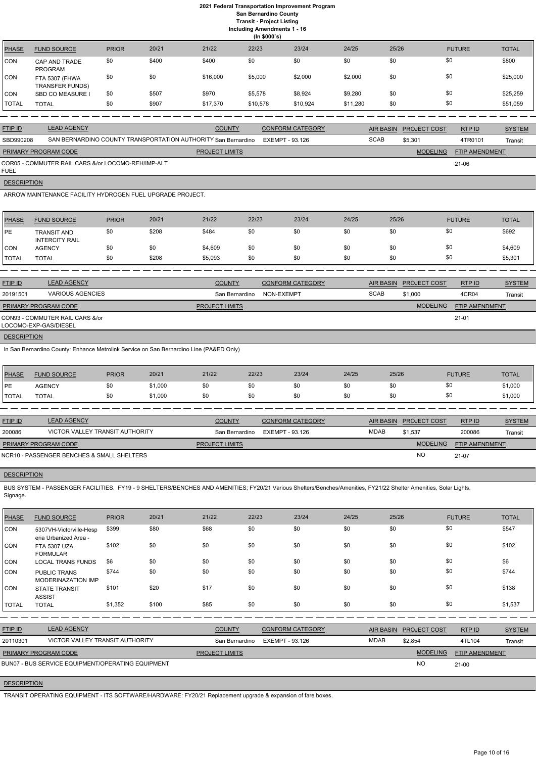|         | (ln \$000's)                             |              |       |          |          |          |          |       |               |              |  |  |
|---------|------------------------------------------|--------------|-------|----------|----------|----------|----------|-------|---------------|--------------|--|--|
| PHASE   | <b>FUND SOURCE</b>                       | <b>PRIOR</b> | 20/21 | 21/22    | 22/23    | 23/24    | 24/25    | 25/26 | <b>FUTURE</b> | <b>TOTAL</b> |  |  |
| ICON.   | CAP AND TRADE<br>PROGRAM                 | \$0          | \$400 | \$400    | \$0      | \$0      | \$0      | \$0   | \$0           | \$800        |  |  |
| CON     | FTA 5307 (FHWA<br><b>TRANSFER FUNDS)</b> | \$0          | \$0   | \$16,000 | \$5,000  | \$2,000  | \$2,000  | \$0   | \$0           | \$25,000     |  |  |
| ICON    | SBD CO MEASURE I                         | \$0          | \$507 | \$970    | \$5,578  | \$8,924  | \$9,280  | \$0   | \$0           | \$25,259     |  |  |
| I TOTAL | <b>TOTAL</b>                             | \$0          | \$907 | \$17,370 | \$10,578 | \$10,924 | \$11,280 | \$0   | \$0           | \$51,059     |  |  |

| <b>FTIP ID</b>              | <b>LEAD AGENCY</b>                                            | <b>COUNTY</b>         | CONFORM CATEGORY | AIR BASIN   | <b>PROJECT COST</b> | RTP ID                | <b>SYSTEM</b> |
|-----------------------------|---------------------------------------------------------------|-----------------------|------------------|-------------|---------------------|-----------------------|---------------|
| SBD990208                   | SAN BERNARDINO COUNTY TRANSPORTATION AUTHORITY San Bernardino |                       | EXEMPT - 93.126  | <b>SCAB</b> | \$5.301             | 4TR0101               | Transit       |
| <b>PRIMARY PROGRAM CODE</b> |                                                               | <b>PROJECT LIMITS</b> |                  |             | <b>MODELING</b>     | <b>FTIP AMENDMENT</b> |               |
|                             | COR05 - COMMUTER RAIL CARS &/or LOCOMO-REH/IMP-ALT            |                       |                  |             |                     | 21-06                 |               |
| <b>FUEL</b>                 |                                                               |                       |                  |             |                     |                       |               |

**DESCRIPTION** 

ARROW MAINTENANCE FACILITY HYDROGEN FUEL UPGRADE PROJECT.

| PHASE        | <b>FUND SOURCE</b>                          | <b>PRIOR</b> | 20/21 | 21/22   | 22/23 | 23/24 | 24/25 | 25/26 | <b>FUTURE</b> | <b>TOTAL</b> |
|--------------|---------------------------------------------|--------------|-------|---------|-------|-------|-------|-------|---------------|--------------|
| <b>IPE</b>   | <b>TRANSIT AND</b><br><b>INTERCITY RAIL</b> | \$0          | \$208 | \$484   | \$0   | \$0   | \$0   |       | \$0           | \$692        |
| CON          | <b>AGENCY</b>                               | \$0          | \$0   | \$4,609 | \$0   | \$0   | \$0   | \$0   | \$0           | \$4,609      |
| <b>TOTAL</b> | <b>TOTAL</b>                                | \$0          | \$208 | \$5,093 | \$0   | \$0   | \$0   | \$0   | \$0           | \$5,301      |

| <b>FTIP ID</b>              | <b>LEAD AGENCY</b>              | <b>COUNTY</b>         | <b>CONFORM CATEGORY</b> |             | AIR BASIN PROJECT COST | RTP ID                | <b>SYSTEM</b> |
|-----------------------------|---------------------------------|-----------------------|-------------------------|-------------|------------------------|-----------------------|---------------|
| 20191501                    | <b>VARIOUS AGENCIES</b>         | San Bernardino        | NON-EXEMPT              | <b>SCAB</b> | \$1,000                | 4CR04                 | Transit       |
| <b>PRIMARY PROGRAM CODE</b> |                                 | <b>PROJECT LIMITS</b> |                         |             | <b>MODELING</b>        | <b>FTIP AMENDMENT</b> |               |
| LOCOMO-EXP-GAS/DIESEL       | CON93 - COMMUTER RAIL CARS &/or |                       |                         |             |                        | 21-01                 |               |

**DESCRIPTION** 

In San Bernardino County: Enhance Metrolink Service on San Bernardino Line (PA&ED Only)

| PHASE        | <b>FUND SOURCE</b> | <b>PRIOR</b> | 20/21   | 21/22 | 22/23 | 23/24 | 24/25 | 25/26 | <b>FUTURE</b> | <b>TOTAL</b> |
|--------------|--------------------|--------------|---------|-------|-------|-------|-------|-------|---------------|--------------|
| <b>IPE</b>   | <b>AGENCY</b>      | \$0          | \$1,000 | \$0   |       | \$0   | \$0   |       | \$0           | \$1,000      |
| <b>TOTAL</b> | TOTAL              | \$0          | \$1,000 | \$0   |       | \$0   | \$0   |       | \$0           | \$1,000      |

| <b>FTIP ID</b>              | <b>LEAD AGENCY</b>                         | <b>COUNTY</b>         | <b>CONFORM CATEGORY</b> | AIR BASIN   | <b>PROJECT COST</b> | RTP ID                | <b>SYSTEM</b> |
|-----------------------------|--------------------------------------------|-----------------------|-------------------------|-------------|---------------------|-----------------------|---------------|
| 200086                      | VICTOR VALLEY TRANSIT AUTHORITY            | San Bernardino        | EXEMPT - 93.126         | <b>MDAB</b> | \$1,537             | 200086                | Transit       |
| <b>PRIMARY PROGRAM CODE</b> |                                            | <b>PROJECT LIMITS</b> |                         |             | <b>MODELING</b>     | <b>FTIP AMENDMENT</b> |               |
|                             | NCR10 - PASSENGER BENCHES & SMALL SHELTERS |                       |                         |             | <b>NO</b>           | 21-07                 |               |

**DESCRIPTION** 

BUS SYSTEM - PASSENGER FACILITIES. FY19 - 9 SHELTERS/BENCHES AND AMENITIES; FY20/21 Various Shelters/Benches/Amenities, FY21/22 Shelter Amenities, Solar Lights, Signage.

| <b>PHASE</b>                                                                       | <b>FUND SOURCE</b>                                | <b>PRIOR</b> | 20/21 | 21/22          | 22/23                  | 23/24                   | 24/25       | 25/26            |                     | <b>FUTURE</b> | <b>TOTAL</b>  |
|------------------------------------------------------------------------------------|---------------------------------------------------|--------------|-------|----------------|------------------------|-------------------------|-------------|------------------|---------------------|---------------|---------------|
| CON                                                                                | 5307VH-Victorville-Hesp<br>eria Urbanized Area -  | \$399        | \$80  | \$68           | \$0                    | \$0                     | \$0         | \$0              |                     | \$0           | \$547         |
| CON                                                                                | <b>FTA 5307 UZA</b><br><b>FORMULAR</b>            | \$102        | \$0   | \$0            | \$0                    | \$0                     | \$0         | \$0              |                     | \$0           | \$102         |
| <b>CON</b>                                                                         | <b>LOCAL TRANS FUNDS</b>                          | \$6          | \$0   | \$0            | \$0                    | \$0                     | \$0         | \$0              |                     | \$0           | \$6           |
| <b>CON</b>                                                                         | <b>PUBLIC TRANS</b><br><b>MODERINAZATION IMP</b>  | \$744        | \$0   | \$0            | \$0                    | \$0                     | \$0         | \$0              |                     | \$0           | \$744         |
| <b>CON</b>                                                                         | <b>STATE TRANSIT</b><br><b>ASSIST</b>             | \$101        | \$20  | \$17           | \$0                    | \$0                     | \$0         | \$0              |                     | \$0           | \$138         |
| <b>TOTAL</b>                                                                       | <b>TOTAL</b>                                      | \$1,352      | \$100 | \$85           | \$0                    | \$0                     | \$0         | \$0              |                     | \$0           | \$1,537       |
|                                                                                    |                                                   |              |       |                |                        |                         |             |                  |                     |               |               |
| FTIP ID                                                                            | <b>LEAD AGENCY</b>                                |              |       | <b>COUNTY</b>  |                        | <b>CONFORM CATEGORY</b> |             | <b>AIR BASIN</b> | <b>PROJECT COST</b> | RTP ID        | <b>SYSTEM</b> |
| 20110301                                                                           | VICTOR VALLEY TRANSIT AUTHORITY                   |              |       | San Bernardino | <b>EXEMPT - 93.126</b> |                         | <b>MDAB</b> |                  | \$2,854             | 4TL104        | Transit       |
| <b>MODELING</b><br>PRIMARY PROGRAM CODE<br>PROJECT LIMITS<br><b>FTIP AMENDMENT</b> |                                                   |              |       |                |                        |                         |             |                  |                     |               |               |
|                                                                                    | BUN07 - BUS SERVICE EQUIPMENT/OPERATING EQUIPMENT |              |       |                |                        |                         |             |                  | <b>NO</b>           | $21 - 00$     |               |

## **DESCRIPTION**

TRANSIT OPERATING EQUIPMENT - ITS SOFTWARE/HARDWARE: FY20/21 Replacement upgrade & expansion of fare boxes.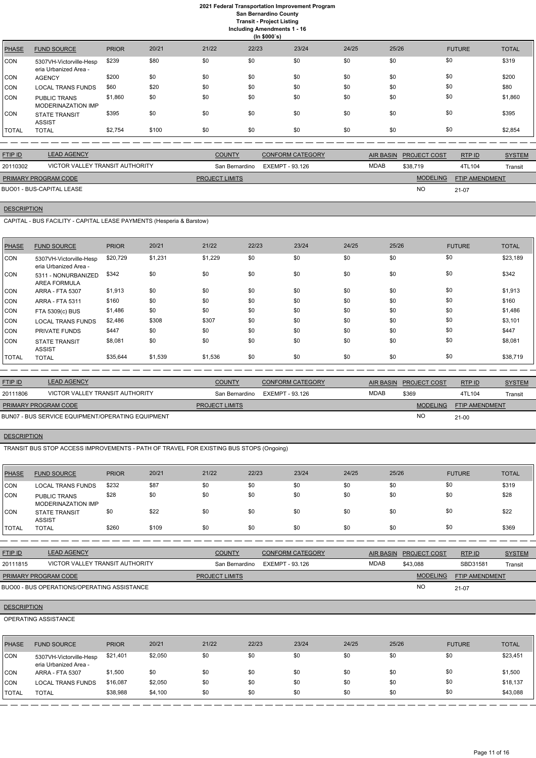|              | (ln \$000's)                                     |              |       |       |       |       |       |       |               |              |  |  |
|--------------|--------------------------------------------------|--------------|-------|-------|-------|-------|-------|-------|---------------|--------------|--|--|
| <b>PHASE</b> | <b>FUND SOURCE</b>                               | <b>PRIOR</b> | 20/21 | 21/22 | 22/23 | 23/24 | 24/25 | 25/26 | <b>FUTURE</b> | <b>TOTAL</b> |  |  |
| <b>CON</b>   | 5307VH-Victorville-Hesp<br>eria Urbanized Area - | \$239        | \$80  | \$0   | \$0   | \$0   | \$0   | \$0   | \$0           | \$319        |  |  |
| <b>CON</b>   | <b>AGENCY</b>                                    | \$200        | \$0   | \$0   | \$0   | \$0   | \$0   | \$0   | \$0           | \$200        |  |  |
| <b>CON</b>   | <b>LOCAL TRANS FUNDS</b>                         | \$60         | \$20  | \$0   | \$0   | \$0   | \$0   | \$0   | \$0           | \$80         |  |  |
| <b>CON</b>   | <b>PUBLIC TRANS</b><br><b>MODERINAZATION IMP</b> | \$1,860      | \$0   | \$0   | \$0   | \$0   | \$0   | \$0   | \$0           | \$1,860      |  |  |
| <b>CON</b>   | <b>STATE TRANSIT</b><br><b>ASSIST</b>            | \$395        | \$0   | \$0   | \$0   | \$0   | \$0   | \$0   | \$0           | \$395        |  |  |
| <b>TOTAL</b> | <b>TOTAL</b>                                     | \$2,754      | \$100 | \$0   | \$0   | \$0   | \$0   | \$0   | \$0           | \$2,854      |  |  |

| <b>FTIP ID</b>            | <b>LEAD AGENCY</b>              | <b>COUNTY</b>         | <b>CONFORM CATEGORY</b>        |             | <b>AIR BASIN PROJECT COST</b> | RTP ID                | <b>SYSTEM</b> |
|---------------------------|---------------------------------|-----------------------|--------------------------------|-------------|-------------------------------|-----------------------|---------------|
| 20110302                  | VICTOR VALLEY TRANSIT AUTHORITY |                       | San Bernardino EXEMPT - 93.126 | <b>MDAB</b> | \$38.719                      | 4TL104                | Transit       |
| PRIMARY PROGRAM CODE      |                                 | <b>PROJECT LIMITS</b> |                                |             | <b>MODELING</b>               | <b>FTIP AMENDMENT</b> |               |
| BUO01 - BUS-CAPITAL LEASE |                                 |                       |                                |             | <b>NC</b>                     | $21 - 07$             |               |

## **DESCRIPTION**

CAPITAL - BUS FACILITY - CAPITAL LEASE PAYMENTS (Hesperia & Barstow)

| <b>PHASE</b> | <b>FUND SOURCE</b>                               | <b>PRIOR</b> | 20/21   | 21/22   | 22/23 | 23/24 | 24/25 | 25/26 | <b>FUTURE</b> | <b>TOTAL</b> |
|--------------|--------------------------------------------------|--------------|---------|---------|-------|-------|-------|-------|---------------|--------------|
| <b>CON</b>   | 5307VH-Victorville-Hesp<br>eria Urbanized Area - | \$20,729     | \$1,231 | \$1,229 | \$0   | \$0   | \$0   | \$0   | \$0           | \$23,189     |
| <b>CON</b>   | 5311 - NONURBANIZED<br><b>AREA FORMULA</b>       | \$342        | \$0     | \$0     | \$0   | \$0   | \$0   | \$0   | \$0           | \$342        |
| <b>CON</b>   | <b>ARRA - FTA 5307</b>                           | \$1,913      | \$0     | \$0     | \$0   | \$0   | \$0   | \$0   | \$0           | \$1,913      |
| <b>CON</b>   | <b>ARRA - FTA 5311</b>                           | \$160        | \$0     | \$0     | \$0   | \$0   | \$0   | \$0   | \$0           | \$160        |
| <b>CON</b>   | FTA 5309(c) BUS                                  | \$1,486      | \$0     | \$0     | \$0   | \$0   | \$0   | \$0   | \$0           | \$1,486      |
| <b>CON</b>   | <b>LOCAL TRANS FUNDS</b>                         | \$2,486      | \$308   | \$307   | \$0   | \$0   | \$0   | \$0   | \$0           | \$3,101      |
| <b>CON</b>   | <b>PRIVATE FUNDS</b>                             | \$447        | \$0     | \$0     | \$0   | \$0   | \$0   | \$0   | \$0           | \$447        |
| <b>CON</b>   | <b>STATE TRANSIT</b><br><b>ASSIST</b>            | \$8,081      | \$0     | \$0     | \$0   | \$0   | \$0   | \$0   | \$0           | \$8,081      |
| <b>TOTAL</b> | <b>TOTAL</b>                                     | \$35,644     | \$1,539 | \$1,536 | \$0   | \$0   | \$0   | \$0   | \$0           | \$38,719     |
|              |                                                  |              |         |         |       |       |       |       |               |              |

| <u>FTIP ID</u>              | <b>LEAD AGENCY</b>                                | <b>COUNTY</b>         | <b>CONFORM CATEGORY</b> |             | AIR BASIN PROJECT COST | RTPID                 | <b>SYSTEM</b> |
|-----------------------------|---------------------------------------------------|-----------------------|-------------------------|-------------|------------------------|-----------------------|---------------|
| 20111806                    | VICTOR VALLEY TRANSIT AUTHORITY                   | San Bernardino        | EXEMPT - 93.126         | <b>MDAB</b> | \$369                  | 4TL104                | Transit       |
| <b>PRIMARY PROGRAM CODE</b> |                                                   | <b>PROJECT LIMITS</b> |                         |             | <b>MODELING</b>        | <b>FTIP AMENDMENT</b> |               |
|                             | BUN07 - BUS SERVICE EQUIPMENT/OPERATING EQUIPMENT |                       |                         |             | <b>NC</b>              | $21 - 00$             |               |

BUN07 - BUS SERVICE EQUIPMENT/OPERATING EQUIPMENT

## **DESCRIPTION**

TRANSIT BUS STOP ACCESS IMPROVEMENTS - PATH OF TRAVEL FOR EXISTING BUS STOPS (Ongoing)

| <b>PHASE</b> | <b>FUND SOURCE</b>                        | <b>PRIOR</b> | 20/21 | 21/22 | 22/23 | 23/24 | 24/25 | 25/26 | <b>FUTURE</b> | <b>TOTAL</b> |
|--------------|-------------------------------------------|--------------|-------|-------|-------|-------|-------|-------|---------------|--------------|
| CON          | <b>LOCAL TRANS FUNDS</b>                  | \$232        | \$87  | \$0   | \$0   | \$0   | \$0   | \$0   | \$0           | \$319        |
| CON          | <b>PUBLIC TRANS</b><br>MODERINAZATION IMP | \$28         | \$0   | \$0   | \$0   | \$0   | \$0   | \$0   | \$0           | \$28         |
| CON          | <b>STATE TRANSIT</b><br><b>ASSIST</b>     | \$0          | \$22  | \$0   | \$0   | \$0   | \$0   | \$0   | \$0           | \$22         |
| <b>TOTAL</b> | <b>TOTAL</b>                              | \$260        | \$109 | \$0   | \$0   | \$0   | \$0   | \$0   | \$0           | \$369        |

| <u>FTIP ID</u> | LEAD AGENCY                     | <b>COUNTY</b>  | <b>CONFORM CATEGORY</b>   | AIR BASIN | <b>PROJECT COST</b> | <b>RTPID</b> | <u>SYSTEM</u> |
|----------------|---------------------------------|----------------|---------------------------|-----------|---------------------|--------------|---------------|
| 20111815       | VICTOR VALLEY TRANSIT AUTHORITY | San Bernardino | <b>EXEMPT</b><br>- 93.126 | MDAB      | \$43,088            | SBD31581     | Transit       |

NO

**DESCRIPTION** 

21-07

BUO00 - BUS OPERATIONS/OPERATING ASSISTANCE

### OPERATING ASSISTANCE

| <b>PHASE</b>   | <b>FUND SOURCE</b>                               | <b>PRIOR</b> | 20/21   | 21/22 | 22/23 | 23/24 | 24/25 | 25/26 | <b>FUTURE</b> | <b>TOTAL</b> |
|----------------|--------------------------------------------------|--------------|---------|-------|-------|-------|-------|-------|---------------|--------------|
| <b>CON</b>     | 5307VH-Victorville-Hesp<br>eria Urbanized Area - | \$21,401     | \$2,050 | \$0   | \$0   | \$0   | \$0   | \$0   | \$0           | \$23,451     |
| ICON           | <b>ARRA - FTA 5307</b>                           | \$1,500      | \$0     | \$0   | \$0   | \$0   | \$0   | \$0   | \$0           | \$1,500      |
| <b>CON</b>     | <b>LOCAL TRANS FUNDS</b>                         | \$16,087     | \$2,050 | \$0   | \$0   | \$0   | \$0   | \$0   | \$0           | \$18,137     |
| <b>I</b> TOTAL | <b>TOTAL</b>                                     | \$38,988     | \$4,100 | \$0   | \$0   | \$0   | \$0   | \$0   | \$0           | \$43,088     |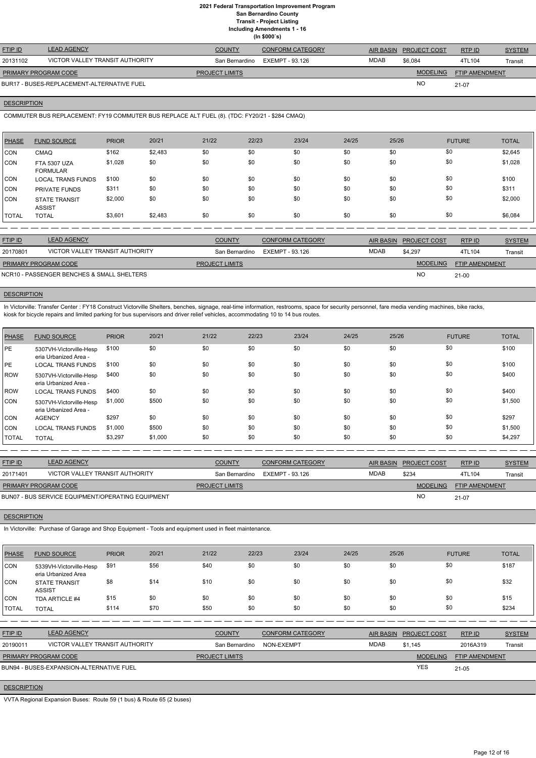| <b>FTIP ID</b>       | <b>LEAD AGENCY</b>                         | <b>COUNTY</b>         | <b>CONFORM CATEGORY</b> |      | AIR BASIN PROJECT COST | RTP ID                | <b>SYSTEM</b> |
|----------------------|--------------------------------------------|-----------------------|-------------------------|------|------------------------|-----------------------|---------------|
| 20131102             | VICTOR VALLEY TRANSIT AUTHORITY            | San Bernardino        | EXEMPT - 93.126         | MDAB | \$6,084                | 4TL104                | Transit       |
| PRIMARY PROGRAM CODE |                                            | <b>PROJECT LIMITS</b> |                         |      | MODELING               | <b>FTIP AMENDMENT</b> |               |
|                      | BUR17 - BUSES-REPLACEMENT-ALTERNATIVE FUEL |                       |                         |      | <b>NC</b>              | 21-07                 |               |

#### **DESCRIPTION**

COMMUTER BUS REPLACEMENT: FY19 COMMUTER BUS REPLACE ALT FUEL (8). (TDC: FY20/21 - \$284 CMAQ)

| PHASE      | <b>FUND SOURCE</b>                     | <b>PRIOR</b> | 20/21   | 21/22 | 22/23 | 23/24 | 24/25 | 25/26 | <b>FUTURE</b> | <b>TOTAL</b> |
|------------|----------------------------------------|--------------|---------|-------|-------|-------|-------|-------|---------------|--------------|
| <b>CON</b> | <b>CMAQ</b>                            | \$162        | \$2,483 | \$0   | \$0   | \$0   | \$0   | \$0   | \$0           | \$2,645      |
| CON        | <b>FTA 5307 UZA</b><br><b>FORMULAR</b> | \$1,028      | \$0     | \$0   | \$0   | \$0   | \$0   | \$0   | \$0           | \$1,028      |
| CON        | <b>LOCAL TRANS FUNDS</b>               | \$100        | \$0     | \$0   | \$0   | \$0   | \$0   | \$0   | \$0           | \$100        |
| <b>CON</b> | <b>PRIVATE FUNDS</b>                   | \$311        | \$0     | \$0   | \$0   | \$0   | \$0   | \$0   | \$0           | \$311        |
| ICON       | <b>STATE TRANSIT</b><br><b>ASSIST</b>  | \$2,000      | \$0     | \$0   | \$0   | \$0   | \$0   | \$0   | \$0           | \$2,000      |
| TOTAL      | <b>TOTAL</b>                           | \$3,601      | \$2,483 | \$0   | \$0   | \$0   | \$0   | \$0   | \$0           | \$6,084      |

In Victorville: Transfer Center : FY18 Construct Victorville Shelters, benches, signage, real-time information, restrooms, space for security personnel, fare media vending machines, bike racks, kiosk for bicycle repairs and limited parking for bus supervisors and driver relief vehicles, accommodating 10 to 14 bus routes.

| <b>FTIP ID</b>              | <b>LEAD AGENCY</b>                         | <b>COUNTY</b>         | <b>CONFORM CATEGORY</b> |             | AIR BASIN PROJECT COST | RTPID                 | <b>SYSTEM</b> |
|-----------------------------|--------------------------------------------|-----------------------|-------------------------|-------------|------------------------|-----------------------|---------------|
| 20170801                    | VICTOR VALLEY TRANSIT AUTHORITY            | San Bernardino        | EXEMPT - 93.126         | <b>MDAB</b> | \$4,297                | 4TL104                | Transit       |
| <b>PRIMARY PROGRAM CODE</b> |                                            | <b>PROJECT LIMITS</b> |                         |             | <b>MODELING</b>        | <b>FTIP AMENDMENT</b> |               |
|                             | NCR10 - PASSENGER BENCHES & SMALL SHELTERS |                       |                         |             | <b>NO</b>              | $21 - 00$             |               |

NCR10 - PASSENGER BENCHES & SMALL SHELTERS

#### **DESCRIPTION**

| <b>PHASE</b> | <b>FUND SOURCE</b>                               | <b>PRIOR</b> | 20/21   | 21/22 | 22/23 | 23/24 | 24/25 | 25/26 | <b>FUTURE</b> | <b>TOTAL</b> |
|--------------|--------------------------------------------------|--------------|---------|-------|-------|-------|-------|-------|---------------|--------------|
| PE           | 5307VH-Victorville-Hesp<br>eria Urbanized Area - | \$100        | \$0     | \$0   | \$0   | \$0   | \$0   | \$0   | \$0           | \$100        |
| PE           | LOCAL TRANS FUNDS                                | \$100        | \$0     | \$0   | \$0   | \$0   | \$0   | \$0   | \$0           | \$100        |
| <b>ROW</b>   | 5307VH-Victorville-Hesp<br>eria Urbanized Area - | \$400        | \$0     | \$0   | \$0   | \$0   | \$0   | \$0   | \$0           | \$400        |
| <b>ROW</b>   | <b>LOCAL TRANS FUNDS</b>                         | \$400        | \$0     | \$0   | \$0   | \$0   | \$0   | \$0   | \$0           | \$400        |
| <b>CON</b>   | 5307VH-Victorville-Hesp<br>eria Urbanized Area - | \$1,000      | \$500   | \$0   | \$0   | \$0   | \$0   | \$0   | \$0           | \$1,500      |
| <b>CON</b>   | <b>AGENCY</b>                                    | \$297        | \$0     | \$0   | \$0   | \$0   | \$0   | \$0   | \$0           | \$297        |
| CON          | <b>LOCAL TRANS FUNDS</b>                         | \$1,000      | \$500   | \$0   | \$0   | \$0   | \$0   | \$0   | \$0           | \$1,500      |
| <b>TOTAL</b> | <b>TOTAL</b>                                     | \$3,297      | \$1,000 | \$0   | \$0   | \$0   | \$0   | \$0   | \$0           | \$4,297      |

| <b>FTIP ID</b>              | <b>LEAD AGENCY</b>                                | <b>COUNTY</b>         | <b>CONFORM CATEGORY</b> | <b>AIR BASIN</b> | <b>PROJECT COST</b> | RTP ID                | <b>SYSTEM</b> |
|-----------------------------|---------------------------------------------------|-----------------------|-------------------------|------------------|---------------------|-----------------------|---------------|
| 20171401                    | VICTOR VALLEY TRANSIT AUTHORITY                   | San Bernardino        | EXEMPT - 93.126         | <b>MDAB</b>      | \$234               | 4TL104                | Transit       |
| <b>PRIMARY PROGRAM CODE</b> |                                                   | <b>PROJECT LIMITS</b> |                         |                  | <b>MODELING</b>     | <b>FTIP AMENDMENT</b> |               |
|                             | BUN07 - BUS SERVICE EQUIPMENT/OPERATING EQUIPMENT |                       |                         |                  | <b>NO</b>           | 21-07                 |               |

#### **DESCRIPTION**

In Victorville: Purchase of Garage and Shop Equipment - Tools and equipment used in fleet maintenance.

| <b>PHASE</b>       | <b>FUND SOURCE</b>                             | <b>PRIOR</b> | 20/21 | 21/22                 | 22/23      | 23/24                   | 24/25            | 25/26               | <b>FUTURE</b>         | <b>TOTAL</b>  |
|--------------------|------------------------------------------------|--------------|-------|-----------------------|------------|-------------------------|------------------|---------------------|-----------------------|---------------|
| CON                | 5339VH-Victorville-Hesp<br>eria Urbanized Area | \$91         | \$56  | \$40                  | \$0        | \$0                     | \$0              | \$0                 | \$0                   | \$187         |
| CON                | <b>STATE TRANSIT</b><br><b>ASSIST</b>          | \$8          | \$14  | \$10                  | \$0        | \$0                     | \$0              | \$0                 | \$0                   | \$32          |
| ICON               | TDA ARTICLE #4                                 | \$15         | \$0   | \$0                   | \$0        | \$0                     | \$0              | \$0                 | \$0                   | \$15          |
| TOTAL              | <b>TOTAL</b>                                   | \$114        | \$70  | \$50                  | \$0        | \$0                     | \$0              | \$0                 | \$0                   | \$234         |
|                    |                                                |              |       |                       |            |                         |                  |                     |                       |               |
| <b>FTIP ID</b>     | <b>LEAD AGENCY</b>                             |              |       | <b>COUNTY</b>         |            | <b>CONFORM CATEGORY</b> | <b>AIR BASIN</b> | <b>PROJECT COST</b> | RTP ID                | <b>SYSTEM</b> |
| 20190011           | VICTOR VALLEY TRANSIT AUTHORITY                |              |       | San Bernardino        | NON-EXEMPT |                         | <b>MDAB</b>      | \$1,145             | 2016A319              | Transit       |
|                    | PRIMARY PROGRAM CODE                           |              |       | <b>PROJECT LIMITS</b> |            |                         |                  | <b>MODELING</b>     | <b>FTIP AMENDMENT</b> |               |
|                    | BUN94 - BUSES-EXPANSION-ALTERNATIVE FUEL       |              |       |                       |            |                         |                  | <b>YES</b>          | $21 - 05$             |               |
| <b>DESCRIPTION</b> |                                                |              |       |                       |            |                         |                  |                     |                       |               |

VVTA Regional Expansion Buses: Route 59 (1 bus) & Route 65 (2 buses)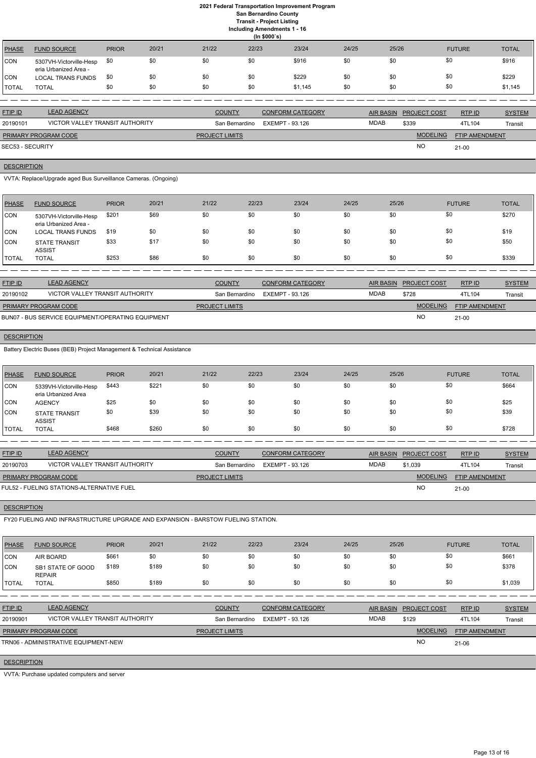|              | (ln \$000's)                                     |              |       |       |       |         |       |       |               |              |  |  |  |
|--------------|--------------------------------------------------|--------------|-------|-------|-------|---------|-------|-------|---------------|--------------|--|--|--|
| <b>PHASE</b> | <b>FUND SOURCE</b>                               | <b>PRIOR</b> | 20/21 | 21/22 | 22/23 | 23/24   | 24/25 | 25/26 | <b>FUTURE</b> | <b>TOTAL</b> |  |  |  |
| <b>CON</b>   | 5307VH-Victorville-Hesp<br>eria Urbanized Area - | \$0          | \$0   | \$0   | \$0   | \$916   | \$0   | \$0   | \$0           | \$916        |  |  |  |
| <b>CON</b>   | LOCAL TRANS FUNDS                                | \$0          | \$0   | \$0   | \$0   | \$229   | \$0   | \$0   | \$0           | \$229        |  |  |  |
| <b>TOTAL</b> | <b>TOTAL</b>                                     | \$0          | \$0   | \$0   | \$0   | \$1.145 | \$0   | \$0   | \$0           | \$1,145      |  |  |  |

| <b>FTIP ID</b>              | <b>LEAD AGENCY</b>              | <b>COUNTY</b>         | <b>CONFORM CATEGORY</b> |             | AIR BASIN PROJECT COST | <b>RTPID</b>   | <b>SYSTEM</b> |
|-----------------------------|---------------------------------|-----------------------|-------------------------|-------------|------------------------|----------------|---------------|
| 20190101                    | VICTOR VALLEY TRANSIT AUTHORITY | San Bernardino        | EXEMPT - 93.126         | <b>MDAB</b> | \$339                  | 4TL104         | Transit       |
| <b>PRIMARY PROGRAM CODE</b> |                                 | <b>PROJECT LIMITS</b> |                         |             | <b>MODELING</b>        | FTIP AMENDMENT |               |
| SEC53 - SECURITY            |                                 |                       |                         |             | <b>NO</b>              | 21-00          |               |

## **DESCRIPTION**

VVTA: Replace/Upgrade aged Bus Surveillance Cameras. (Ongoing)

| <b>PHASE</b> | <b>FUND SOURCE</b>                               | <b>PRIOR</b> | 20/21 | 21/22 | 22/23 | 23/24 | 24/25 | 25/26 | <b>FUTURE</b> | <b>TOTAL</b> |
|--------------|--------------------------------------------------|--------------|-------|-------|-------|-------|-------|-------|---------------|--------------|
| <b>CON</b>   | 5307VH-Victorville-Hesp<br>eria Urbanized Area - | \$201        | \$69  | \$0   | \$0   | \$0   | \$0   | \$0   | \$0           | \$270        |
| CON          | <b>LOCAL TRANS FUNDS</b>                         | \$19         | \$0   | \$0   | \$0   | \$0   | \$0   | \$0   | \$0           | \$19         |
| <b>CON</b>   | <b>STATE TRANSIT</b><br><b>ASSIST</b>            | \$33         | \$17  | \$0   | \$0   | \$0   | \$0   | \$0   | \$0           | \$50         |
| I TOTAL      | <b>TOTAL</b>                                     | \$253        | \$86  | \$0   | \$0   | \$0   | \$0   | \$0   | \$0           | \$339        |

| <b>FTIP ID</b>              | <b>LEAD AGENCY</b>                                | <b>COUNTY</b>         | <b>CONFORM CATEGORY</b> |             | AIR BASIN PROJECT COST | RTP ID                | <b>SYSTEM</b> |
|-----------------------------|---------------------------------------------------|-----------------------|-------------------------|-------------|------------------------|-----------------------|---------------|
| 20190102                    | VICTOR VALLEY TRANSIT AUTHORITY                   | San Bernardino        | EXEMPT - 93.126         | <b>MDAB</b> | \$728                  | 4TL104                | Transit       |
| <b>PRIMARY PROGRAM CODE</b> |                                                   | <b>PROJECT LIMITS</b> |                         |             | <b>MODELING</b>        | <b>FTIP AMENDMENT</b> |               |
|                             | BUN07 - BUS SERVICE EQUIPMENT/OPERATING EQUIPMENT |                       |                         |             | <b>NO</b>              | $21-00$               |               |

## **DESCRIPTION**

Battery Electric Buses (BEB) Project Management & Technical Assistance

| <b>PHASE</b> | <b>FUND SOURCE</b>                             | <b>PRIOR</b> | 20/21 | 21/22 | 22/23 | 23/24 | 24/25 | 25/26 | <b>FUTURE</b> | <b>TOTAL</b> |
|--------------|------------------------------------------------|--------------|-------|-------|-------|-------|-------|-------|---------------|--------------|
| CON          | 5339VH-Victorville-Hesp<br>eria Urbanized Area | \$443        | \$221 | \$0   | \$0   | \$0   | \$0   | \$0   | \$0           | \$664        |
| <b>CON</b>   | <b>AGENCY</b>                                  | \$25         | \$0   | \$0   | \$0   | \$0   | \$0   | \$0   | \$0           | \$25         |
| CON          | <b>STATE TRANSIT</b><br><b>ASSIST</b>          | \$0          | \$39  | \$0   | \$0   | \$0   | \$0   | \$0   | \$0           | \$39         |
| TOTAL        | <b>TOTAL</b>                                   | \$468        | \$260 | \$0   | \$0   | \$0   | \$0   | \$0   | \$0           | \$728        |

| <b>FTIP ID</b>              | <b>LEAD AGENCY</b>                        | <b>COUNTY</b>         | <b>CONFORM CATEGORY</b> |             | AIR BASIN PROJECT COST | RTPID                 | <b>SYSTEM</b> |
|-----------------------------|-------------------------------------------|-----------------------|-------------------------|-------------|------------------------|-----------------------|---------------|
| 20190703                    | VICTOR VALLEY TRANSIT AUTHORITY           | San Bernardino        | EXEMPT - 93.126         | <b>MDAB</b> | \$1,039                | 4TL104                | Transit       |
| <b>PRIMARY PROGRAM CODE</b> |                                           | <b>PROJECT LIMITS</b> |                         |             | <b>MODELING</b>        | <b>FTIP AMENDMENT</b> |               |
|                             | FUL52 - FUELING STATIONS-ALTERNATIVE FUEL |                       |                         |             | <b>NC</b>              | $21 - 00$             |               |

## **DESCRIPTION**

FY20 FUELING AND INFRASTRUCTURE UPGRADE AND EXPANSION - BARSTOW FUELING STATION.

| <b>PHASE</b> | <b>FUND SOURCE</b>                 | <b>PRIOR</b> | 20/21 | 21/22 | 22/23 | 23/24 | 24/25 | 25/26 | <b>FUTURE</b> | <b>TOTAL</b> |
|--------------|------------------------------------|--------------|-------|-------|-------|-------|-------|-------|---------------|--------------|
| <b>CON</b>   | AIR BOARD                          | \$661        | \$0   | \$0   | \$0   | \$0   | \$0   | \$0   | \$0           | \$661        |
| <b>CON</b>   | SB1 STATE OF GOOD<br><b>REPAIR</b> | \$189        | \$189 | \$0   | \$0   | \$0   | \$0   | \$0   | \$0           | \$378        |
| <b>TOTAL</b> | <b>TOTAL</b>                       | \$850        | \$189 | \$0   | \$0   | \$0   | \$0   | \$0   | \$0           | \$1,039      |

| <b>FTIP ID</b>              | <b>LEAD AGENCY</b>                   | <b>COUNTY</b>         | <b>CONFORM CATEGORY</b>        |             | AIR BASIN PROJECT COST | <b>RTPID</b>          | <b>SYSTEM</b> |
|-----------------------------|--------------------------------------|-----------------------|--------------------------------|-------------|------------------------|-----------------------|---------------|
| 20190901                    | VICTOR VALLEY TRANSIT AUTHORITY      |                       | San Bernardino EXEMPT - 93.126 | <b>MDAB</b> | \$129                  | 4TL104                | Transit       |
| <b>PRIMARY PROGRAM CODE</b> |                                      | <b>PROJECT LIMITS</b> |                                |             | <b>MODELING</b>        | <b>FTIP AMENDMENT</b> |               |
|                             | TRN06 - ADMINISTRATIVE EQUIPMENT-NEW |                       |                                |             | <b>NO</b>              | $21 - 06$             |               |

**DESCRIPTION** 

VVTA: Purchase updated computers and server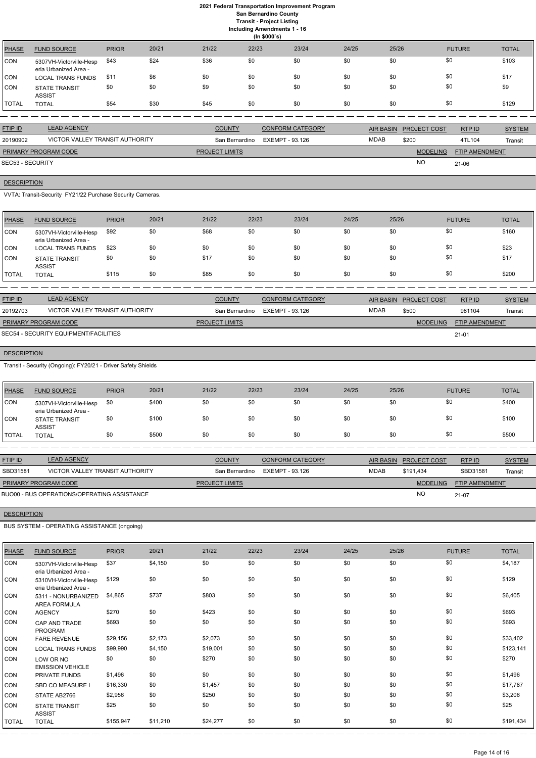|              | (In \$000`s)                                     |              |       |       |       |       |       |       |               |              |  |
|--------------|--------------------------------------------------|--------------|-------|-------|-------|-------|-------|-------|---------------|--------------|--|
| PHASE        | <b>FUND SOURCE</b>                               | <b>PRIOR</b> | 20/21 | 21/22 | 22/23 | 23/24 | 24/25 | 25/26 | <b>FUTURE</b> | <b>TOTAL</b> |  |
| CON          | 5307VH-Victorville-Hesp<br>eria Urbanized Area - | \$43         | \$24  | \$36  | \$0   | \$0   | \$0   | \$0   | \$0           | \$103        |  |
| <b>CON</b>   | <b>LOCAL TRANS FUNDS</b>                         | \$11         | \$6   | \$0   | \$0   | \$0   | \$0   | \$0   | \$0           | \$17         |  |
| <b>CON</b>   | <b>STATE TRANSIT</b><br><b>ASSIST</b>            | \$0          | \$0   | \$9   | \$0   | \$0   | \$0   | \$0   | \$0           | \$9          |  |
| <b>TOTAL</b> | <b>TOTAL</b>                                     | \$54         | \$30  | \$45  | \$0   | \$0   | \$0   | \$0   | \$0           | \$129        |  |

| <b>FTIP ID</b>              | <b>LEAD AGENCY</b>              | <b>COUNTY</b>         | <b>CONFORM CATEGORY</b> |             | AIR BASIN PROJECT COST | RTP ID                | <b>SYSTEM</b> |
|-----------------------------|---------------------------------|-----------------------|-------------------------|-------------|------------------------|-----------------------|---------------|
| 20190902                    | VICTOR VALLEY TRANSIT AUTHORITY | San Bernardino        | EXEMPT - 93.126         | <b>MDAB</b> | \$200                  | 4TL104                | Transit       |
| <b>PRIMARY PROGRAM CODE</b> |                                 | <b>PROJECT LIMITS</b> |                         |             | <b>MODELING</b>        | <b>FTIP AMENDMENT</b> |               |
| SEC53 - SECURITY            |                                 |                       |                         |             | <b>NO</b>              | 21-06                 |               |

## **DESCRIPTION**

VVTA: Transit-Security FY21/22 Purchase Security Cameras.

| <b>PHASE</b> | <b>FUND SOURCE</b>                               | <b>PRIOR</b> | 20/21 | 21/22 | 22/23 | 23/24 | 24/25 | 25/26 | <b>FUTURE</b> | <b>TOTAL</b> |
|--------------|--------------------------------------------------|--------------|-------|-------|-------|-------|-------|-------|---------------|--------------|
| <b>CON</b>   | 5307VH-Victorville-Hesp<br>eria Urbanized Area - | \$92         | \$0   | \$68  | \$0   | \$0   | \$0   | \$0   | \$0           | \$160        |
| CON          | <b>LOCAL TRANS FUNDS</b>                         | \$23         | \$0   | \$0   | \$0   | \$0   | \$0   | \$0   | \$0           | \$23         |
| CON          | <b>STATE TRANSIT</b><br><b>ASSIST</b>            | \$0          | \$0   | \$17  | \$0   | \$0   | \$0   | \$0   | \$0           | \$17         |
| TOTAL        | <b>TOTAL</b>                                     | \$115        | \$0   | \$85  | \$0   | \$0   | \$0   | \$0   | \$0           | \$200        |

| <b>FTIP ID</b>       | <b>LEAD AGENCY</b>                    | <b>COUNTY</b>         | CONFORM CATEGORY |      | AIR BASIN PROJECT COST | RTP ID         | <b>SYSTEM</b> |
|----------------------|---------------------------------------|-----------------------|------------------|------|------------------------|----------------|---------------|
| 20192703             | VICTOR VALLEY TRANSIT AUTHORITY       | San Bernardino        | EXEMPT - 93.126  | MDAB | \$500                  | 981104         | Transit       |
| PRIMARY PROGRAM CODE |                                       | <b>PROJECT LIMITS</b> |                  |      | <b>MODELING</b>        | FTIP AMENDMENT |               |
|                      | SEC54 - SECURITY EQUIPMENT/FACILITIES |                       |                  |      |                        | $21 - 01$      |               |

## **DESCRIPTION**

Transit - Security (Ongoing): FY20/21 - Driver Safety Shields

| <b>PHASE</b>  | <b>FUND SOURCE</b>                               | <b>PRIOR</b> | 20/21 | 21/22 | 22/23 | 23/24 | 24/25 | 25/26 | <b>FUTURE</b> | <b>TOTAL</b> |
|---------------|--------------------------------------------------|--------------|-------|-------|-------|-------|-------|-------|---------------|--------------|
| <b>CON</b>    | 5307VH-Victorville-Hesp<br>eria Urbanized Area - | \$0          | \$400 | \$0   | \$0   | \$0   | \$0   | \$0   | \$0           | \$400        |
| <b>CON</b>    | <b>STATE TRANSIT</b><br><b>ASSIST</b>            | \$0          | \$100 | \$0   | \$0   | \$0   | \$0   | \$0   | \$0           | \$100        |
| <b>ITOTAL</b> | <b>TOTAL</b>                                     | \$0          | \$500 | \$0   | \$0   | \$0   | \$0   | \$0   | \$0           | \$500        |

| <b>FTIP ID</b>              | <b>LEAD AGENCY</b>                          | <b>COUNTY</b>         | <b>CONFORM CATEGORY</b> |             | AIR BASIN PROJECT COST | RTP ID                | <b>SYSTEM</b> |
|-----------------------------|---------------------------------------------|-----------------------|-------------------------|-------------|------------------------|-----------------------|---------------|
| SBD31581                    | VICTOR VALLEY TRANSIT AUTHORITY             | San Bernardino        | EXEMPT - 93.126         | <b>MDAB</b> | \$191.434              | SBD31581              | Transit       |
| <b>PRIMARY PROGRAM CODE</b> |                                             | <b>PROJECT LIMITS</b> |                         |             | <b>MODELING</b>        | <b>FTIP AMENDMENT</b> |               |
|                             | BUO00 - BUS OPERATIONS/OPERATING ASSISTANCE |                       |                         |             | <b>NC</b>              | $21 - 07$             |               |

## **DESCRIPTION**

BUS SYSTEM - OPERATING ASSISTANCE (ongoing)

| <b>PHASE</b> | <b>FUND SOURCE</b>                               | <b>PRIOR</b> | 20/21    | 21/22    | 22/23 | 23/24 | 24/25 | 25/26 | <b>FUTURE</b> | <b>TOTAL</b> |
|--------------|--------------------------------------------------|--------------|----------|----------|-------|-------|-------|-------|---------------|--------------|
| CON          | 5307VH-Victorville-Hesp<br>eria Urbanized Area - | \$37         | \$4,150  | \$0      | \$0   | \$0   | \$0   | \$0   | \$0           | \$4,187      |
| CON          | 5310VH-Victorville-Hesp<br>eria Urbanized Area - | \$129        | \$0      | \$0      | \$0   | \$0   | \$0   | \$0   | \$0           | \$129        |
| <b>CON</b>   | 5311 - NONURBANIZED<br>AREA FORMULA              | \$4,865      | \$737    | \$803    | \$0   | \$0   | \$0   | \$0   | \$0           | \$6,405      |
| CON          | <b>AGENCY</b>                                    | \$270        | \$0      | \$423    | \$0   | \$0   | \$0   | \$0   | \$0           | \$693        |
| CON          | CAP AND TRADE<br>PROGRAM                         | \$693        | \$0      | \$0      | \$0   | \$0   | \$0   | \$0   | \$0           | \$693        |
| CON          | <b>FARE REVENUE</b>                              | \$29,156     | \$2,173  | \$2,073  | \$0   | \$0   | \$0   | \$0   | \$0           | \$33,402     |
| CON          | <b>LOCAL TRANS FUNDS</b>                         | \$99,990     | \$4,150  | \$19,001 | \$0   | \$0   | \$0   | \$0   | \$0           | \$123,141    |
| CON          | LOW OR NO<br><b>EMISSION VEHICLE</b>             | \$0          | \$0      | \$270    | \$0   | \$0   | \$0   | \$0   | \$0           | \$270        |
| CON          | PRIVATE FUNDS                                    | \$1,496      | \$0      | \$0      | \$0   | \$0   | \$0   | \$0   | \$0           | \$1,496      |
| CON          | <b>SBD CO MEASURE I</b>                          | \$16,330     | \$0      | \$1,457  | \$0   | \$0   | \$0   | \$0   | \$0           | \$17,787     |
| CON          | STATE AB2766                                     | \$2,956      | \$0      | \$250    | \$0   | \$0   | \$0   | \$0   | \$0           | \$3,206      |
| CON          | <b>STATE TRANSIT</b><br><b>ASSIST</b>            | \$25         | \$0      | \$0      | \$0   | \$0   | \$0   | \$0   | \$0           | \$25         |
| TOTAL        | <b>TOTAL</b>                                     | \$155,947    | \$11,210 | \$24,277 | \$0   | \$0   | \$0   | \$0   | \$0           | \$191,434    |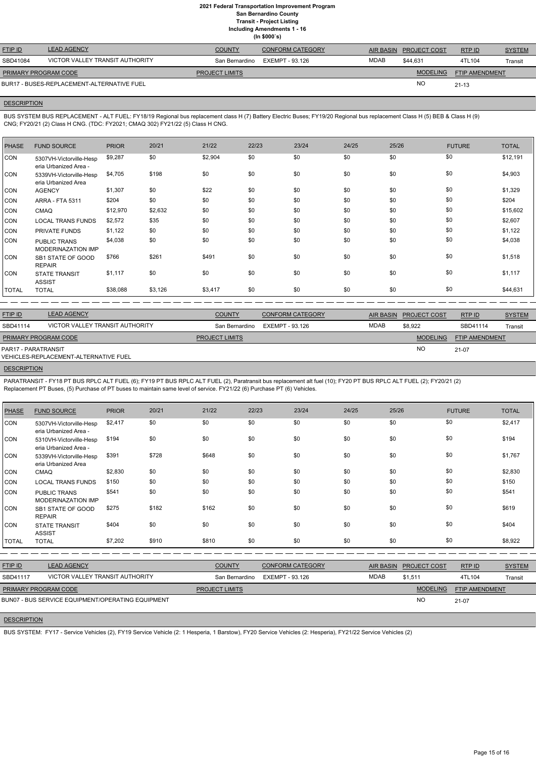| <b>FTIP ID</b>       | <b>LEAD AGENCY</b>                         | <b>COUNTY</b>         | <b>CONFORM CATEGORY</b> |             | AIR BASIN PROJECT COST | RTPID                 | <b>SYSTEM</b> |
|----------------------|--------------------------------------------|-----------------------|-------------------------|-------------|------------------------|-----------------------|---------------|
| SBD41084             | VICTOR VALLEY TRANSIT AUTHORITY            | San Bernardino        | EXEMPT - 93.126         | <b>MDAB</b> | \$44,631               | 4TL104                | Transit       |
| PRIMARY PROGRAM CODE |                                            | <b>PROJECT LIMITS</b> |                         |             | <b>MODELING</b>        | <b>FTIP AMENDMENT</b> |               |
|                      | BUR17 - BUSES-REPLACEMENT-ALTERNATIVE FUEL |                       |                         |             | <b>NC</b>              | $21 - 13$             |               |

#### **DESCRIPTION**

BUS SYSTEM BUS REPLACEMENT - ALT FUEL: FY18/19 Regional bus replacement class H (7) Battery Electric Buses; FY19/20 Regional bus replacement Class H (5) BEB & Class H (9) CNG; FY20/21 (2) Class H CNG. (TDC: FY2021; CMAQ 302) FY21/22 (5) Class H CNG.

| <b>PHASE</b> | <b>FUND SOURCE</b>                               | <b>PRIOR</b> | 20/21   | 21/22   | 22/23 | 23/24 | 24/25 | 25/26 | <b>FUTURE</b> | <b>TOTAL</b> |
|--------------|--------------------------------------------------|--------------|---------|---------|-------|-------|-------|-------|---------------|--------------|
| <b>CON</b>   | 5307VH-Victorville-Hesp<br>eria Urbanized Area - | \$9,287      | \$0     | \$2,904 | \$0   | \$0   | \$0   | \$0   | \$0           | \$12,191     |
| <b>CON</b>   | 5339VH-Victorville-Hesp<br>eria Urbanized Area   | \$4,705      | \$198   | \$0     | \$0   | \$0   | \$0   | \$0   | \$0           | \$4,903      |
| <b>CON</b>   | <b>AGENCY</b>                                    | \$1,307      | \$0     | \$22    | \$0   | \$0   | \$0   | \$0   | \$0           | \$1,329      |
| <b>CON</b>   | <b>ARRA - FTA 5311</b>                           | \$204        | \$0     | \$0     | \$0   | \$0   | \$0   | \$0   | \$0           | \$204        |
| <b>CON</b>   | <b>CMAQ</b>                                      | \$12,970     | \$2,632 | \$0     | \$0   | \$0   | \$0   | \$0   | \$0           | \$15,602     |
| <b>CON</b>   | <b>LOCAL TRANS FUNDS</b>                         | \$2,572      | \$35    | \$0     | \$0   | \$0   | \$0   | \$0   | \$0           | \$2,607      |
| <b>CON</b>   | PRIVATE FUNDS                                    | \$1,122      | \$0     | \$0     | \$0   | \$0   | \$0   | \$0   | \$0           | \$1,122      |
| <b>CON</b>   | <b>PUBLIC TRANS</b><br>MODERINAZATION IMP        | \$4,038      | \$0     | \$0     | \$0   | \$0   | \$0   | \$0   | \$0           | \$4,038      |
| <b>CON</b>   | SB1 STATE OF GOOD<br><b>REPAIR</b>               | \$766        | \$261   | \$491   | \$0   | \$0   | \$0   | \$0   | \$0           | \$1,518      |
| <b>CON</b>   | <b>STATE TRANSIT</b><br><b>ASSIST</b>            | \$1,117      | \$0     | \$0     | \$0   | \$0   | \$0   | \$0   | \$0           | \$1,117      |
| <b>TOTAL</b> | <b>TOTAL</b>                                     | \$38,088     | \$3,126 | \$3,417 | \$0   | \$0   | \$0   | \$0   | \$0           | \$44,631     |
|              |                                                  |              |         |         |       |       |       |       |               |              |

| <b>FTIP ID</b>       | <b>LEAD AGENCY</b>                    | <b>COUNTY</b>         | <b>CONFORM CATEGORY</b> |      | AIR BASIN PROJECT COST | RTPID                 | <b>SYSTEM</b> |
|----------------------|---------------------------------------|-----------------------|-------------------------|------|------------------------|-----------------------|---------------|
| SBD41114             | VICTOR VALLEY TRANSIT AUTHORITY       | San Bernardino        | EXEMPT - 93.126         | MDAB | \$8,922                | SBD41114              | Transit       |
| PRIMARY PROGRAM CODE |                                       | <b>PROJECT LIMITS</b> |                         |      | <b>MODELING</b>        | <b>FTIP AMENDMENT</b> |               |
| PAR17 - PARATRANSIT  | VEHICLES-REPLACEMENT-ALTERNATIVE FUEL |                       |                         |      | NO                     | 21-07                 |               |
| <b>DEAADIDEIALI</b>  |                                       |                       |                         |      |                        |                       |               |

#### **DESCRIPTION**

PARATRANSIT - FY18 PT BUS RPLC ALT FUEL (6); FY19 PT BUS RPLC ALT FUEL (2), Paratransit bus replacement alt fuel (10); FY20 PT BUS RPLC ALT FUEL (2); FY20/21 (2) Replacement PT Buses, (5) Purchase of PT buses to maintain same level of service. FY21/22 (6) Purchase PT (6) Vehicles.

| <b>PHASE</b> | <b>FUND SOURCE</b>                               | <b>PRIOR</b> | 20/21 | 21/22 | 22/23 | 23/24 | 24/25 | 25/26 | <b>FUTURE</b> | <b>TOTAL</b> |
|--------------|--------------------------------------------------|--------------|-------|-------|-------|-------|-------|-------|---------------|--------------|
| <b>CON</b>   | 5307VH-Victorville-Hesp<br>eria Urbanized Area - | \$2,417      | \$0   | \$0   | \$0   | \$0   | \$0   | \$0   | \$0           | \$2,417      |
| <b>CON</b>   | 5310VH-Victorville-Hesp<br>eria Urbanized Area - | \$194        | \$0   | \$0   | \$0   | \$0   | \$0   | \$0   | \$0           | \$194        |
| CON          | 5339VH-Victorville-Hesp<br>eria Urbanized Area   | \$391        | \$728 | \$648 | \$0   | \$0   | \$0   | \$0   | \$0           | \$1,767      |
| <b>CON</b>   | <b>CMAQ</b>                                      | \$2,830      | \$0   | \$0   | \$0   | \$0   | \$0   | \$0   | \$0           | \$2,830      |
| CON          | <b>LOCAL TRANS FUNDS</b>                         | \$150        | \$0   | \$0   | \$0   | \$0   | \$0   | \$0   | \$0           | \$150        |
| CON          | <b>PUBLIC TRANS</b><br><b>MODERINAZATION IMP</b> | \$541        | \$0   | \$0   | \$0   | \$0   | \$0   | \$0   | \$0           | \$541        |
| <b>CON</b>   | SB1 STATE OF GOOD<br><b>REPAIR</b>               | \$275        | \$182 | \$162 | \$0   | \$0   | \$0   | \$0   | \$0           | \$619        |
| <b>CON</b>   | <b>STATE TRANSIT</b><br><b>ASSIST</b>            | \$404        | \$0   | \$0   | \$0   | \$0   | \$0   | \$0   | \$0           | \$404        |
| <b>TOTAL</b> | <b>TOTAL</b>                                     | \$7,202      | \$910 | \$810 | \$0   | \$0   | \$0   | \$0   | \$0           | \$8,922      |

RTP ID

| SBD41117                    | VICTOR VALLEY TRANSIT AUTHORITY                   | San Bernardino        | EXEMPT - 93.126 | MDAB | \$1,511         | 4TL104                | Transit |
|-----------------------------|---------------------------------------------------|-----------------------|-----------------|------|-----------------|-----------------------|---------|
| <b>PRIMARY PROGRAM CODE</b> |                                                   | <b>PROJECT LIMITS</b> |                 |      | <b>MODELING</b> | <b>FTIP AMENDMENT</b> |         |
|                             | BUN07 - BUS SERVICE EQUIPMENT/OPERATING EQUIPMENT |                       |                 |      | NC              | $21 - 07$             |         |

#### **DESCRIPTION**

BUS SYSTEM: FY17 - Service Vehicles (2), FY19 Service Vehicle (2: 1 Hesperia, 1 Barstow), FY20 Service Vehicles (2: Hesperia), FY21/22 Service Vehicles (2)